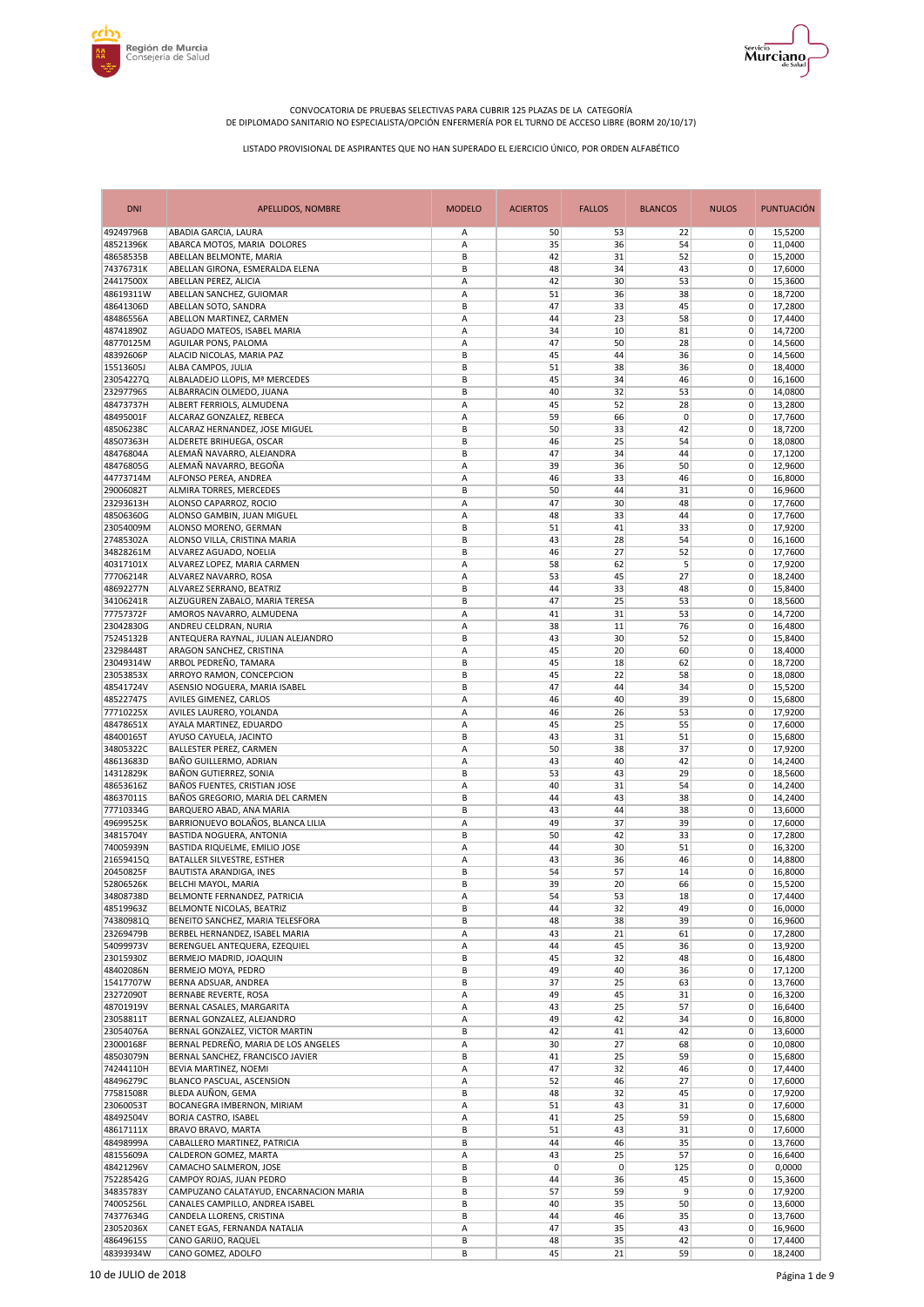



| <b>DNI</b>             | <b>APELLIDOS, NOMBRE</b>                                                  | <b>MODELO</b> | <b>ACIERTOS</b> | <b>FALLOS</b> | <b>BLANCOS</b> | <b>NULOS</b>               | <b>PUNTUACIÓN</b>  |
|------------------------|---------------------------------------------------------------------------|---------------|-----------------|---------------|----------------|----------------------------|--------------------|
| 49249796B              | ABADIA GARCIA, LAURA                                                      | Α             | 50              | 53            | 22             | $\overline{0}$             | 15,5200            |
| 48521396K<br>48658535B | ABARCA MOTOS, MARIA DOLORES<br>ABELLAN BELMONTE, MARIA                    | А<br>B        | 35<br>42        | 36<br>31      | 54<br>52       | 0<br>0                     | 11,0400<br>15,2000 |
| 74376731K              | ABELLAN GIRONA, ESMERALDA ELENA                                           | B             | 48              | 34            | 43             | $\mathbf 0$                | 17,6000            |
| 24417500X              | ABELLAN PEREZ, ALICIA                                                     | A             | 42              | 30            | 53             | $\mathbf 0$                | 15,3600            |
| 48619311W              | ABELLAN SANCHEZ, GUIOMAR                                                  | A             | 51              | 36            | 38             | $\mathbf 0$                | 18,7200            |
| 48641306D<br>48486556A | ABELLAN SOTO, SANDRA                                                      | B<br>А        | 47<br>44        | 33<br>23      | 45<br>58       | $\mathbf 0$<br>$\mathbf 0$ | 17,2800            |
| 48741890Z              | ABELLON MARTINEZ, CARMEN<br>AGUADO MATEOS, ISABEL MARIA                   | A             | 34              | 10            | 81             | $\mathbf 0$                | 17,4400<br>14,7200 |
| 48770125M              | AGUILAR PONS, PALOMA                                                      | А             | 47              | 50            | 28             | $\mathbf 0$                | 14,5600            |
| 48392606P              | ALACID NICOLAS, MARIA PAZ                                                 | B             | 45              | 44            | 36             | $\mathbf 0$                | 14,5600            |
| 15513605J              | ALBA CAMPOS, JULIA                                                        | B             | 51              | 38            | 36             | 0                          | 18,4000            |
| 23054227Q              | ALBALADEJO LLOPIS, Mª MERCEDES                                            | B             | 45              | 34            | 46             | $\mathbf 0$                | 16,1600            |
| 23297796S<br>48473737H | ALBARRACIN OLMEDO, JUANA<br>ALBERT FERRIOLS, ALMUDENA                     | B<br>А        | 40<br>45        | 32<br>52      | 53<br>28       | $\mathbf 0$<br>0           | 14,0800<br>13,2800 |
| 48495001F              | ALCARAZ GONZALEZ, REBECA                                                  | A             | 59              | 66            | 0              | $\mathbf 0$                | 17,7600            |
| 48506238C              | ALCARAZ HERNANDEZ, JOSE MIGUEL                                            | B             | 50              | 33            | 42             | $\mathbf 0$                | 18,7200            |
| 48507363H              | ALDERETE BRIHUEGA, OSCAR                                                  | B             | 46              | 25            | 54             | 0                          | 18,0800            |
| 48476804A              | ALEMAÑ NAVARRO, ALEJANDRA                                                 | B             | 47              | 34            | 44             | $\mathbf 0$                | 17,1200            |
| 48476805G<br>44773714M | ALEMAÑ NAVARRO, BEGOÑA<br>ALFONSO PEREA, ANDREA                           | А<br>А        | 39<br>46        | 36<br>33      | 50<br>46       | 0<br>0                     | 12,9600<br>16,8000 |
| 29006082T              | ALMIRA TORRES, MERCEDES                                                   | B             | 50              | 44            | 31             | $\mathbf 0$                | 16,9600            |
| 23293613H              | ALONSO CAPARROZ, ROCIO                                                    | А             | 47              | 30            | 48             | 0                          | 17,7600            |
| 48506360G              | ALONSO GAMBIN, JUAN MIGUEL                                                | Α             | 48              | 33            | 44             | 0                          | 17,7600            |
| 23054009M              | ALONSO MORENO, GERMAN                                                     | B             | 51              | 41            | 33             | $\mathbf 0$                | 17,9200            |
| 27485302A              | ALONSO VILLA, CRISTINA MARIA                                              | B             | 43              | 28            | 54             | 0                          | 16,1600            |
| 34828261M<br>40317101X | ALVAREZ AGUADO, NOELIA                                                    | B<br>A        | 46<br>58        | 27<br>62      | 52<br>5        | 0<br>$\mathbf 0$           | 17,7600            |
| 77706214R              | ALVAREZ LOPEZ, MARIA CARMEN<br>ALVAREZ NAVARRO, ROSA                      | Α             | 53              | 45            | 27             | 0                          | 17,9200<br>18,2400 |
| 48692277N              | ALVAREZ SERRANO, BEATRIZ                                                  | B             | 44              | 33            | 48             | $\mathbf 0$                | 15.8400            |
| 34106241R              | ALZUGUREN ZABALO, MARIA TERESA                                            | B             | 47              | 25            | 53             | $\mathbf 0$                | 18,5600            |
| 77757372F              | AMOROS NAVARRO, ALMUDENA                                                  | Α             | 41              | 31            | 53             | $\mathbf 0$                | 14,7200            |
| 23042830G              | ANDREU CELDRAN, NURIA                                                     | Α             | 38              | 11            | 76             | $\mathbf 0$                | 16,4800            |
| 75245132B<br>23298448T | ANTEQUERA RAYNAL, JULIAN ALEJANDRO<br>ARAGON SANCHEZ, CRISTINA            | B<br>Α        | 43<br>45        | 30<br>20      | 52<br>60       | $\mathbf 0$<br>$\mathbf 0$ | 15,8400<br>18,4000 |
| 23049314W              | ARBOL PEDREÑO, TAMARA                                                     | B             | 45              | 18            | 62             | $\mathbf 0$                | 18,7200            |
| 23053853X              | ARROYO RAMON, CONCEPCION                                                  | B             | 45              | 22            | 58             | 0                          | 18,0800            |
| 48541724V              | ASENSIO NOGUERA, MARIA ISABEL                                             | B             | 47              | 44            | 34             | $\mathbf 0$                | 15,5200            |
| 48522747S              | AVILES GIMENEZ, CARLOS                                                    | Α             | 46              | 40            | 39             | $\mathbf 0$                | 15,6800            |
| 77710225X              | AVILES LAURERO, YOLANDA                                                   | А             | 46              | 26            | 53             | 0                          | 17,9200            |
| 48478651X<br>48400165T | AYALA MARTINEZ, EDUARDO<br>AYUSO CAYUELA, JACINTO                         | А<br>B        | 45<br>43        | 25<br>31      | 55<br>51       | $\mathbf 0$<br>$\mathbf 0$ | 17,6000<br>15,6800 |
| 34805322C              | BALLESTER PEREZ, CARMEN                                                   | А             | 50              | 38            | 37             | 0                          | 17,9200            |
| 48613683D              | BAÑO GUILLERMO, ADRIAN                                                    | A             | 43              | 40            | 42             | 0                          | 14,2400            |
| 14312829K              | BAÑON GUTIERREZ, SONIA                                                    | B             | 53              | 43            | 29             | 0                          | 18,5600            |
| 48653616Z              | BAÑOS FUENTES, CRISTIAN JOSE                                              | Α             | 40              | 31            | 54             | $\mathbf 0$                | 14,2400            |
| 48637011S<br>77710334G | BAÑOS GREGORIO, MARIA DEL CARMEN<br>BARQUERO ABAD, ANA MARIA              | B<br>B        | 44<br>43        | 43<br>44      | 38<br>38       | $\mathbf 0$<br>0           | 14,2400<br>13,6000 |
| 49699525K              | BARRIONUEVO BOLAÑOS, BLANCA LILIA                                         | Α             | 49              | 37            | 39             | 0                          | 17,6000            |
| 34815704Y              | BASTIDA NOGUERA, ANTONIA                                                  | B             | 50              | 42            | 33             | 0                          | 17,2800            |
| 74005939N              | BASTIDA RIQUELME, EMILIO JOSE                                             | А             | 44              | 30            | 51             | 0                          | 16,3200            |
| 21659415Q              | BATALLER SILVESTRE, ESTHER                                                | Α             | 43              | 36            | 46             | 0                          | 14,8800            |
| 20450825F<br>52806526K | BAUTISTA ARANDIGA, INES<br>BELCHI MAYOL, MARIA                            | B<br>B        | 54<br>39        | 57<br>20      | 14<br>66       | $\mathbf 0$<br>0           | 16,8000<br>15,5200 |
| 34808738D              | BELMONTE FERNANDEZ, PATRICIA                                              | Α             | 54              | 53            | 18             | 0                          | 17,4400            |
| 48519963Z              | BELMONTE NICOLAS, BEATRIZ                                                 | В             | 44              | 32            | 49             | 0                          | 16,0000            |
| 74380981Q              | BENEITO SANCHEZ, MARIA TELESFORA                                          | В             | 48              | 38            | 39             | 0                          | 16,9600            |
| 23269479B              | BERBEL HERNANDEZ, ISABEL MARIA                                            | Α             | 43              | 21            | 61             | $\mathbf 0$                | 17,2800            |
| 54099973V<br>23015930Z | BERENGUEL ANTEQUERA, EZEQUIEL<br>BERMEJO MADRID, JOAQUIN                  | Α<br>В        | 44<br>45        | 45<br>32      | 36<br>48       | 0<br>0                     | 13,9200<br>16,4800 |
| 48402086N              | BERMEJO MOYA, PEDRO                                                       | B             | 49              | 40            | 36             | 0                          | 17,1200            |
| 15417707W              | BERNA ADSUAR, ANDREA                                                      | B             | 37              | 25            | 63             | 0                          | 13,7600            |
| 23272090T              | <b>BERNABE REVERTE, ROSA</b>                                              | Α             | 49              | 45            | 31             | 0                          | 16,3200            |
| 48701919V              | BERNAL CASALES, MARGARITA                                                 | Α             | 43              | 25            | 57             | 0                          | 16,6400            |
| 23058811T              | BERNAL GONZALEZ, ALEJANDRO                                                | А             | 49              | 42            | 34             | 0                          | 16,8000            |
| 23054076A<br>23000168F | BERNAL GONZALEZ, VICTOR MARTIN<br>BERNAL PEDREÑO, MARIA DE LOS ANGELES    | В<br>Α        | 42<br>30        | 41<br>27      | 42<br>68       | $\mathbf 0$<br>0           | 13,6000<br>10,0800 |
| 48503079N              | BERNAL SANCHEZ, FRANCISCO JAVIER                                          | В             | 41              | 25            | 59             | $\mathbf 0$                | 15,6800            |
| 74244110H              | BEVIA MARTINEZ, NOEMI                                                     | Α             | 47              | 32            | 46             | 0                          | 17,4400            |
| 48496279C              | BLANCO PASCUAL, ASCENSION                                                 | Α             | 52              | 46            | 27             | 0                          | 17,6000            |
| 77581508R              | BLEDA AUÑON, GEMA                                                         | В             | 48              | 32            | 45             | $\mathbf 0$                | 17,9200            |
| 23060053T              | BOCANEGRA IMBERNON, MIRIAM                                                | Α             | 51              | 43<br>25      | 31             | 0<br>0                     | 17,6000            |
| 48492504V<br>48617111X | <b>BORJA CASTRO, ISABEL</b><br>BRAVO BRAVO, MARTA                         | Α<br>B        | 41<br>51        | 43            | 59<br>31       | 0                          | 15,6800<br>17,6000 |
| 48498999A              | CABALLERO MARTINEZ, PATRICIA                                              | B             | 44              | 46            | 35             | 0                          | 13,7600            |
| 48155609A              | CALDERON GOMEZ, MARTA                                                     | А             | 43              | 25            | 57             | 0                          | 16,6400            |
| 48421296V              | CAMACHO SALMERON, JOSE                                                    | В             | 0               | $\mathbf{0}$  | 125            | 0                          | 0,0000             |
| 75228542G              | CAMPOY ROJAS, JUAN PEDRO                                                  | B             | 44              | 36            | 45             | 0                          | 15,3600            |
| 34835783Y<br>74005256L | CAMPUZANO CALATAYUD, ENCARNACION MARIA<br>CANALES CAMPILLO, ANDREA ISABEL | B<br>В        | 57<br>40        | 59<br>35      | 9<br>50        | 0<br>0                     | 17,9200<br>13,6000 |
| 74377634G              | CANDELA LLORENS, CRISTINA                                                 | B             | 44              | 46            | 35             | 0                          | 13,7600            |
| 23052036X              | CANET EGAS, FERNANDA NATALIA                                              | Α             | 47              | 35            | 43             | 0                          | 16,9600            |
| 48649615S              | CANO GARIJO, RAQUEL                                                       | В             | 48              | 35            | 42             | $\mathbf 0$                | 17,4400            |
| 48393934W              | CANO GOMEZ, ADOLFO                                                        | В             | 45              | 21            | 59             | 0                          | 18,2400            |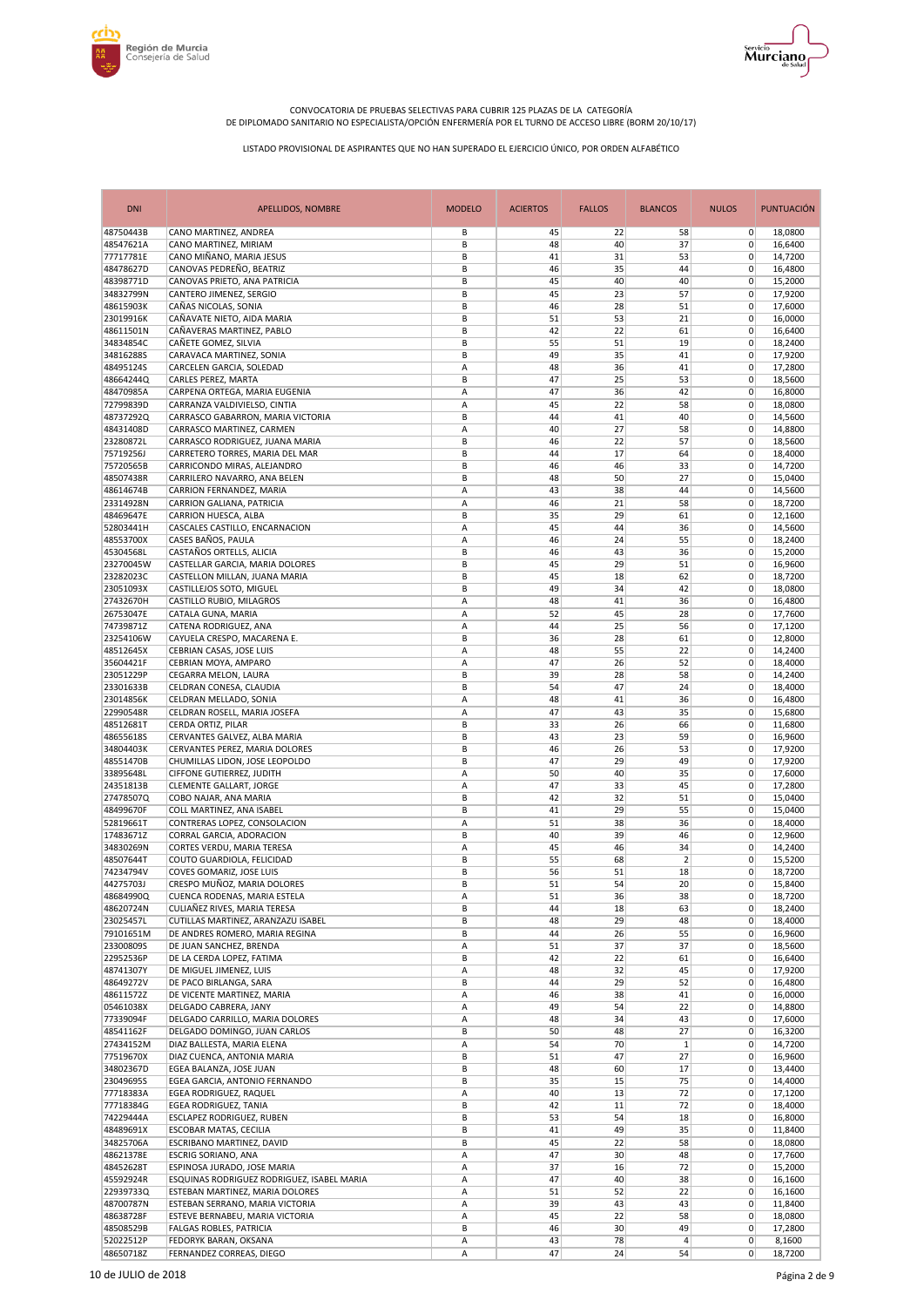



| <b>DNI</b>             | <b>APELLIDOS, NOMBRE</b>                                                  | <b>MODELO</b> | <b>ACIERTOS</b> | <b>FALLOS</b> | <b>BLANCOS</b> | <b>NULOS</b>               | <b>PUNTUACIÓN</b>  |
|------------------------|---------------------------------------------------------------------------|---------------|-----------------|---------------|----------------|----------------------------|--------------------|
| 48750443B              | CANO MARTINEZ, ANDREA                                                     | В             | 45              | 22            | 58             | $\overline{0}$             | 18,0800            |
| 48547621A              | CANO MARTINEZ, MIRIAM                                                     | B             | 48              | 40            | 37             | 0                          | 16,6400            |
| 77717781E<br>48478627D | CANO MIÑANO, MARIA JESUS<br>CANOVAS PEDREÑO, BEATRIZ                      | B<br>B        | 41<br>46        | 31<br>35      | 53<br>44       | 0<br>0                     | 14,7200            |
| 48398771D              | CANOVAS PRIETO, ANA PATRICIA                                              | B             | 45              | 40            | 40             | $\mathbf 0$                | 16,4800<br>15,2000 |
| 34832799N              | CANTERO JIMENEZ, SERGIO                                                   | B             | 45              | 23            | 57             | 0                          | 17,9200            |
| 48615903K              | CAÑAS NICOLAS, SONIA                                                      | B             | 46              | 28            | 51             | $\mathbf 0$                | 17,6000            |
| 23019916K              | CAÑAVATE NIETO, AIDA MARIA                                                | B             | 51              | 53            | 21             | $\mathbf 0$                | 16,0000            |
| 48611501N              | CAÑAVERAS MARTINEZ, PABLO                                                 | B             | 42              | 22            | 61             | 0                          | 16,6400            |
| 34834854C              | CAÑETE GOMEZ, SILVIA                                                      | B             | 55              | 51            | 19             | $\mathbf 0$                | 18,2400            |
| 34816288S              | CARAVACA MARTINEZ, SONIA                                                  | B             | 49              | 35            | 41             | $\mathbf 0$                | 17,9200            |
| 48495124S              | CARCELEN GARCIA, SOLEDAD                                                  | Α             | 48              | 36            | 41             | $\mathbf 0$                | 17,2800            |
| 48664244Q              | CARLES PEREZ, MARTA                                                       | B             | 47              | 25            | 53             | $\mathbf 0$                | 18,5600            |
| 48470985A              | CARPENA ORTEGA, MARIA EUGENIA                                             | А             | 47              | 36            | 42             | $\mathbf 0$                | 16,8000            |
| 72799839D              | CARRANZA VALDIVIELSO, CINTIA                                              | Α             | 45              | 22            | 58             | 0                          | 18,0800            |
| 48737292Q              | CARRASCO GABARRON, MARIA VICTORIA                                         | B             | 44              | 41            | 40             | 0                          | 14,5600            |
| 48431408D              | CARRASCO MARTINEZ, CARMEN                                                 | А             | 40              | 27            | 58             | 0                          | 14,8800            |
| 23280872L              | CARRASCO RODRIGUEZ, JUANA MARIA                                           | B             | 46              | 22            | 57             | 0                          | 18,5600            |
| 75719256J              | CARRETERO TORRES, MARIA DEL MAR                                           | B             | 44              | 17            | 64             | $\mathbf 0$                | 18,4000            |
| 75720565B              | CARRICONDO MIRAS, ALEJANDRO                                               | B             | 46              | 46            | 33             | 0                          | 14,7200            |
| 48507438R              | CARRILERO NAVARRO, ANA BELEN                                              | B             | 48              | 50            | 27             | 0                          | 15,0400            |
| 48614674B              | CARRION FERNANDEZ, MARIA                                                  | A             | 43              | 38            | 44             | $\mathbf 0$                | 14,5600            |
| 23314928N              | CARRION GALIANA, PATRICIA                                                 | А             | 46              | 21            | 58             | 0                          | 18,7200            |
| 48469647E              | CARRION HUESCA, ALBA                                                      | B             | 35              | 29            | 61             | $\mathbf 0$                | 12.1600            |
| 52803441H              | CASCALES CASTILLO, ENCARNACION                                            | А             | 45              | 44            | 36             | $\mathbf 0$                | 14,5600            |
| 48553700X              | CASES BAÑOS, PAULA                                                        | Α             | 46              | 24            | 55             | $\mathbf 0$                | 18,2400            |
| 45304568L              | CASTAÑOS ORTELLS, ALICIA                                                  | B             | 46              | 43            | 36             | $\mathbf 0$                | 15,2000            |
| 23270045W              | CASTELLAR GARCIA, MARIA DOLORES                                           | B             | 45              | 29            | 51             | 0                          | 16,9600            |
| 23282023C              | CASTELLON MILLAN, JUANA MARIA                                             | B             | 45              | 18            | 62             | $\mathbf 0$                | 18,7200            |
| 23051093X              | CASTILLEJOS SOTO, MIGUEL                                                  | B             | 49              | 34            | 42             | $\mathbf 0$                | 18,0800            |
| 27432670H              | CASTILLO RUBIO, MILAGROS                                                  | A             | 48              | 41            | 36             | $\mathbf 0$                | 16,4800            |
| 26753047E              | CATALA GUNA, MARIA                                                        | А             | 52              | 45            | 28             | $\mathbf 0$                | 17,7600            |
| 74739871Z              | CATENA RODRIGUEZ, ANA                                                     | Α             | 44              | 25            | 56             | 0                          | 17,1200            |
| 23254106W              | CAYUELA CRESPO, MACARENA E.                                               | B             | 36              | 28            | 61             | 0                          | 12,8000            |
| 48512645X              | CEBRIAN CASAS, JOSE LUIS                                                  | Α             | 48              | 55            | 22             | $\mathbf 0$                | 14,2400            |
| 35604421F              | CEBRIAN MOYA, AMPARO                                                      | Α             | 47              | 26            | 52             | $\mathbf 0$                | 18,4000            |
| 23051229P              | CEGARRA MELON, LAURA                                                      | В             | 39              | 28            | 58             | $\mathbf 0$                | 14,2400            |
| 23301633B              | CELDRAN CONESA, CLAUDIA                                                   | B             | 54              | 47            | 24             | $\mathbf 0$                | 18,4000            |
| 23014856K<br>22990548R | CELDRAN MELLADO, SONIA                                                    | А             | 48<br>47        | 41<br>43      | 36             | $\mathbf 0$<br>$\mathbf 0$ | 16,4800            |
| 48512681T              | CELDRAN ROSELL, MARIA JOSEFA<br>CERDA ORTIZ, PILAR                        | Α<br>B        | 33              | 26            | 35<br>66       | $\mathbf 0$                | 15,6800<br>11,6800 |
| 48655618S              | CERVANTES GALVEZ, ALBA MARIA                                              | B             | 43              | 23            | 59             | $\mathbf 0$                | 16,9600            |
| 34804403K              | CERVANTES PEREZ, MARIA DOLORES                                            | B             | 46              | 26            | 53             | 0                          | 17,9200            |
| 48551470B              | CHUMILLAS LIDON, JOSE LEOPOLDO                                            | B             | 47              | 29            | 49             | $\mathbf 0$                | 17,9200            |
| 33895648L              | CIFFONE GUTIERREZ, JUDITH                                                 | А             | 50              | 40            | 35             | 0                          | 17,6000            |
| 24351813B              | CLEMENTE GALLART, JORGE                                                   | Α             | 47              | 33            | 45             | $\mathbf 0$                | 17,2800            |
| 27478507Q              | COBO NAJAR, ANA MARIA                                                     | B             | 42              | 32            | 51             | $\mathbf 0$                | 15,0400            |
| 48499670F              | COLL MARTINEZ, ANA ISABEL                                                 | B             | 41              | 29            | 55             | 0                          | 15,0400            |
| 52819661T              | CONTRERAS LOPEZ, CONSOLACION                                              | Α             | 51              | 38            | 36             | 0                          | 18,4000            |
| 17483671Z              | CORRAL GARCIA, ADORACION                                                  | B             | 40              | 39            | 46             | $\mathbf 0$                | 12,9600            |
| 34830269N              | CORTES VERDU, MARIA TERESA                                                | Α             | 45              | 46            | 34             | $\mathbf 0$                | 14,2400            |
| 48507644T              | COUTO GUARDIOLA, FELICIDAD                                                | B             | 55              | 68            | $\overline{2}$ | 0                          | 15,5200            |
| 74234794V              | COVES GOMARIZ, JOSE LUIS                                                  | B             | 56              | 51            | 18             | $\mathbf 0$                | 18,7200            |
| 44275703J              | CRESPO MUÑOZ, MARIA DOLORES                                               | B             | 51              | 54            | 20             | 0                          | 15,8400            |
| 48684990Q              | CUENCA RODENAS, MARIA ESTELA                                              | А             | 51              | 36            | 38             | $\pmb{0}$                  | 18,7200            |
| 48620724N              | CULIAÑEZ RIVES, MARIA TERESA                                              | B             | 44              | 18            | 63             | $\overline{0}$             | 18,2400            |
| 23025457L              | CUTILLAS MARTINEZ, ARANZAZU ISABEL                                        | В             | 48              | 29            | 48             | 0                          | 18,4000            |
| 79101651M              | DE ANDRES ROMERO, MARIA REGINA                                            | B             | 44              | 26            | 55             | 0                          | 16,9600            |
| 23300809S              | DE JUAN SANCHEZ, BRENDA                                                   | А             | 51              | 37            | 37             | 0                          | 18,5600            |
| 22952536P              | DE LA CERDA LOPEZ, FATIMA                                                 | В             | 42              | 22            | 61             | 0                          | 16,6400            |
| 48741307Y              | DE MIGUEL JIMENEZ, LUIS                                                   | Α             | 48              | 32            | 45             | 0                          | 17,9200            |
| 48649272V              | DE PACO BIRLANGA, SARA                                                    | B             | 44              | 29            | 52             | $\overline{0}$             | 16,4800            |
| 48611572Z              | DE VICENTE MARTINEZ, MARIA                                                | Α             | 46              | 38            | 41             | 0                          | 16,0000            |
| 05461038X              | DELGADO CABRERA, JANY                                                     | Α             | 49              | 54            | 22             | 0                          | 14,8800            |
| 77339094F              | DELGADO CARRILLO, MARIA DOLORES                                           | Α             | 48              | 34            | 43             | $\mathbf 0$                | 17,6000            |
| 48541162F              | DELGADO DOMINGO, JUAN CARLOS                                              | В             | 50              | 48            | 27             | 0                          | 16,3200            |
| 27434152M              | DIAZ BALLESTA, MARIA ELENA                                                | Α             | 54              | 70            | $\mathbf{1}$   | 0                          | 14,7200            |
| 77519670X              | DIAZ CUENCA, ANTONIA MARIA                                                | В             | 51              | 47            | 27             | 0                          | 16,9600            |
| 34802367D              | EGEA BALANZA, JOSE JUAN                                                   | B             | 48              | 60            | 17             | 0                          | 13,4400            |
| 23049695S              | EGEA GARCIA, ANTONIO FERNANDO                                             | B             | 35              | 15            | 75             | 0                          | 14,4000            |
| 77718383A              | EGEA RODRIGUEZ, RAQUEL                                                    | Α             | 40              | 13            | 72             | 0                          | 17,1200            |
| 77718384G              | EGEA RODRIGUEZ, TANIA                                                     | B             | 42              | 11            | 72             | 0                          | 18,4000            |
| 74229444A              | ESCLAPEZ RODRIGUEZ, RUBEN                                                 | B             | 53              | 54            | 18             | $\overline{0}$             | 16,8000            |
| 48489691X              | ESCOBAR MATAS, CECILIA                                                    | В             | 41              | 49            | 35             | 0                          | 11,8400            |
| 34825706A              | ESCRIBANO MARTINEZ, DAVID                                                 | B             | 45              | 22            | 58             | 0                          | 18,0800            |
| 48621378E              | <b>ESCRIG SORIANO, ANA</b>                                                | Α             | 47              | 30            | 48             | $\overline{0}$             | 17,7600            |
| 48452628T<br>45592924R | ESPINOSA JURADO, JOSE MARIA<br>ESQUINAS RODRIGUEZ RODRIGUEZ, ISABEL MARIA | Α<br>А        | 37<br>47        | 16<br>40      | 72<br>38       | 0<br>0                     | 15,2000            |
| 22939733Q              | ESTEBAN MARTINEZ, MARIA DOLORES                                           |               |                 | 52            | 22             | $\overline{0}$             | 16,1600            |
| 48700787N              |                                                                           | Α             | 51              |               |                | 0                          | 16,1600            |
| 48638728F              | ESTEBAN SERRANO, MARIA VICTORIA<br>ESTEVE BERNABEU, MARIA VICTORIA        | Α<br>Α        | 39<br>45        | 43<br>22      | 43<br>58       | 0                          | 11,8400            |
| 48508529B              | FALGAS ROBLES, PATRICIA                                                   | В             | 46              | 30            | 49             | 0                          | 18,0800<br>17,2800 |
| 52022512P              | FEDORYK BARAN, OKSANA                                                     | Α             | 43              | 78            | 4              | 0                          | 8,1600             |
| 48650718Z              | FERNANDEZ CORREAS, DIEGO                                                  | Α             | 47              | 24            | 54             | $\overline{0}$             | 18,7200            |
|                        |                                                                           |               |                 |               |                |                            |                    |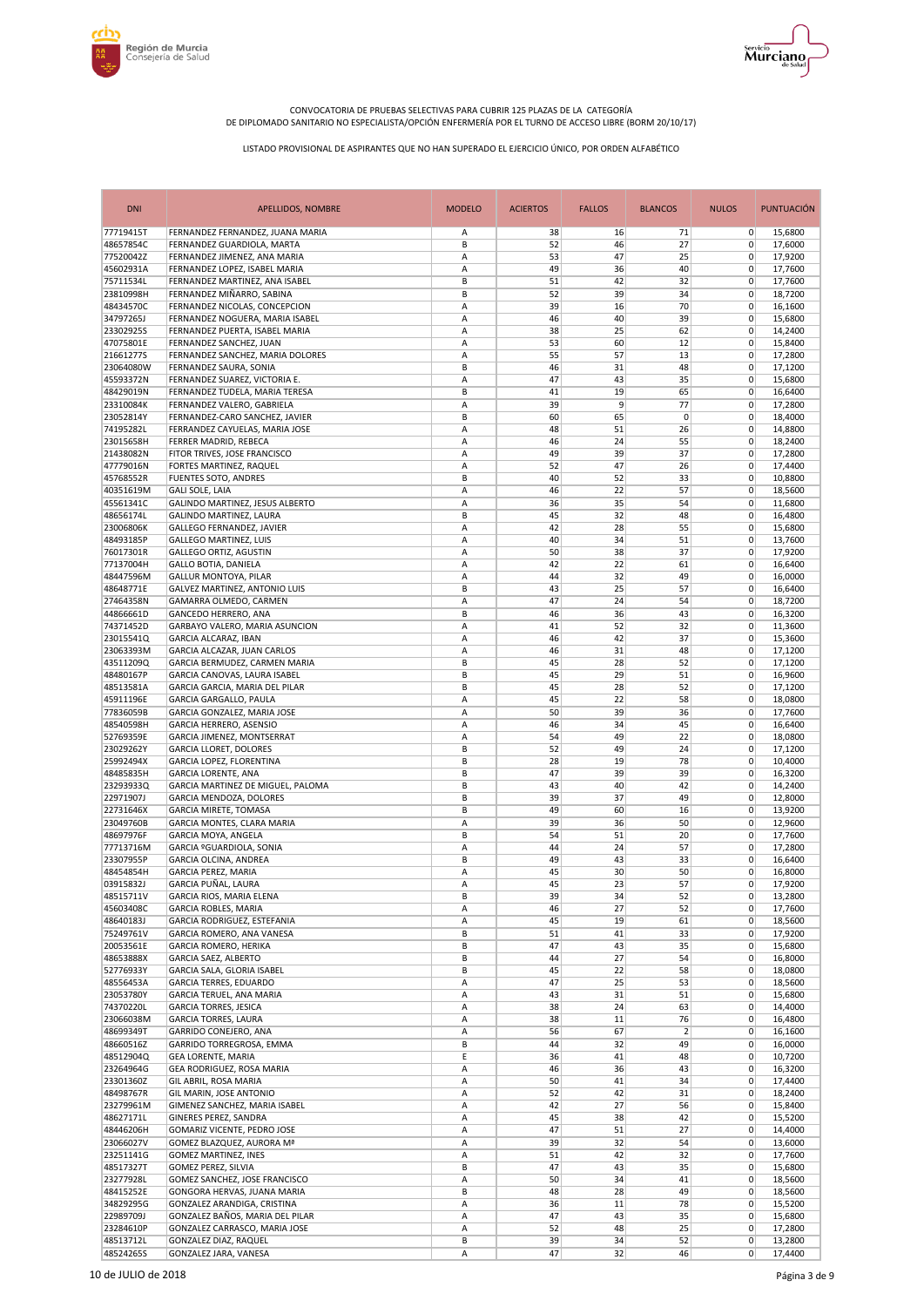



| <b>DNI</b>             | <b>APELLIDOS, NOMBRE</b>                                      | <b>MODELO</b> | <b>ACIERTOS</b> | <b>FALLOS</b> | <b>BLANCOS</b> | <b>NULOS</b>   | <b>PUNTUACIÓN</b>  |
|------------------------|---------------------------------------------------------------|---------------|-----------------|---------------|----------------|----------------|--------------------|
| 77719415T              | FERNANDEZ FERNANDEZ, JUANA MARIA                              | Α             | 38              | 16            | 71             | $\overline{0}$ | 15,6800            |
| 48657854C              | FERNANDEZ GUARDIOLA, MARTA                                    | B             | 52              | 46            | 27             | 0              | 17,6000            |
| 77520042Z              | FERNANDEZ JIMENEZ, ANA MARIA                                  | A             | 53              | 47            | 25             | $\mathbf 0$    | 17,9200            |
| 45602931A              | FERNANDEZ LOPEZ, ISABEL MARIA                                 | A             | 49              | 36            | 40             | 0              | 17,7600            |
| 75711534L              | FERNANDEZ MARTINEZ, ANA ISABEL                                | B             | 51              | 42            | 32             | 0              | 17,7600            |
| 23810998H              | FERNANDEZ MIÑARRO, SABINA                                     | B             | 52              | 39            | 34             | 0              | 18,7200            |
| 48434570C              | FERNANDEZ NICOLAS, CONCEPCION                                 | A             | 39              | 16            | 70             | 0              | 16,1600            |
| 34797265J              | FERNANDEZ NOGUERA, MARIA ISABEL                               | A             | 46              | 40            | 39             | 0              | 15,6800            |
| 23302925S              | FERNANDEZ PUERTA, ISABEL MARIA                                | A             | 38              | 25            | 62             | 0              | 14,2400            |
| 47075801E              | FERNANDEZ SANCHEZ, JUAN                                       | A             | 53              | 60            | 12             | 0              | 15,8400            |
| 21661277S              | FERNANDEZ SANCHEZ, MARIA DOLORES                              | Α             | 55              | 57            | 13             | 0              | 17,2800            |
| 23064080W              | FERNANDEZ SAURA, SONIA                                        | B             | 46              | 31            | 48             | 0              | 17,1200            |
| 45593372N              | FERNANDEZ SUAREZ, VICTORIA E.                                 | A             | 47              | 43            | 35             | 0              | 15,6800            |
| 48429019N              | FERNANDEZ TUDELA, MARIA TERESA                                | B             | 41              | 19            | 65             | $\mathbf 0$    | 16,6400            |
| 23310084K              | FERNANDEZ VALERO, GABRIELA                                    | A             | 39              | 9             | 77             | 0              | 17,2800            |
| 23052814Y              | FERNANDEZ-CARO SANCHEZ, JAVIER                                | B             | 60              | 65            | 0              | 0              | 18,4000            |
| 74195282L              | FERRANDEZ CAYUELAS, MARIA JOSE                                | A             | 48              | 51            | 26             | $\mathbf 0$    | 14,8800            |
| 23015658H              | FERRER MADRID, REBECA                                         | A             | 46              | 24            | 55             | 0              | 18,2400            |
| 21438082N              | FITOR TRIVES, JOSE FRANCISCO                                  | A             | 49              | 39            | 37             | 0              | 17,2800            |
| 47779016N              | FORTES MARTINEZ, RAQUEL                                       | A             | 52              | 47            | 26             | 0              | 17,4400            |
| 45768552R              | <b>FUENTES SOTO, ANDRES</b>                                   | B             | 40              | 52            | 33             | 0              | 10,8800            |
| 40351619M              | <b>GALI SOLE, LAIA</b>                                        | A             | 46              | 22            | 57             | $\mathbf 0$    | 18,5600            |
| 45561341C              | GALINDO MARTINEZ, JESUS ALBERTO                               | A             | 36              | 35            | 54             | 0              | 11,6800            |
| 48656174L              | GALINDO MARTINEZ, LAURA                                       | B             | 45              | 32            | 48             | 0              | 16,4800            |
| 23006806K              | <b>GALLEGO FERNANDEZ, JAVIER</b>                              | A             | 42              | 28            | 55             | 0              | 15,6800            |
| 48493185P<br>76017301R | <b>GALLEGO MARTINEZ, LUIS</b>                                 | A             | 40              | 34<br>38      | 51             | 0              | 13,7600            |
|                        | <b>GALLEGO ORTIZ, AGUSTIN</b>                                 | A             | 50              |               | 37             | 0              | 17,9200            |
| 77137004H              | <b>GALLO BOTIA, DANIELA</b>                                   | A             | 42<br>44        | 22<br>32      | 61<br>49       | 0              | 16,6400            |
| 48447596M<br>48648771E | GALLUR MONTOYA, PILAR                                         | A             |                 |               |                | 0              | 16,0000            |
|                        | GALVEZ MARTINEZ, ANTONIO LUIS                                 | B             | 43              | 25            | 57             | 0              | 16,6400            |
| 27464358N<br>44866661D | GAMARRA OLMEDO, CARMEN                                        | A             | 47              | 24            | 54             | 0              | 18,7200            |
|                        | GANCEDO HERRERO, ANA                                          | B             | 46              | 36            | 43             | 0              | 16,3200            |
| 74371452D              | GARBAYO VALERO, MARIA ASUNCION<br><b>GARCIA ALCARAZ, IBAN</b> | Α             | 41              | 52            | 32             | 0              | 11,3600            |
| 23015541Q              |                                                               | A<br>A        | 46              | 42<br>31      | 37             | 0              | 15,3600            |
| 23063393M              | GARCIA ALCAZAR, JUAN CARLOS                                   |               | 46              |               | 48             | 0              | 17,1200            |
| 43511209Q              | GARCIA BERMUDEZ, CARMEN MARIA                                 | B             | 45              | 28            | 52             | 0              | 17,1200            |
| 48480167P              | GARCIA CANOVAS, LAURA ISABEL                                  | B             | 45              | 29            | 51             | 0              | 16,9600            |
| 48513581A              | GARCIA GARCIA, MARIA DEL PILAR                                | B             | 45              | 28            | 52             | 0              | 17,1200            |
| 45911196E              | GARCIA GARGALLO, PAULA                                        | Α             | 45              | 22            | 58             | 0              | 18,0800            |
| 77836059B<br>48540598H | GARCIA GONZALEZ, MARIA JOSE<br>GARCIA HERRERO, ASENSIO        | A<br>A        | 50<br>46        | 39<br>34      | 36<br>45       | 0<br>0         | 17,7600<br>16,6400 |
| 52769359E              | GARCIA JIMENEZ, MONTSERRAT                                    | Α             | 54              | 49            | 22             | $\mathbf 0$    | 18,0800            |
| 23029262Y              | <b>GARCIA LLORET, DOLORES</b>                                 | B             | 52              | 49            | 24             | $\pmb{0}$      | 17,1200            |
| 25992494X              | GARCIA LOPEZ, FLORENTINA                                      | B             | 28              | 19            | 78             | 0              | 10,4000            |
| 48485835H              | GARCIA LORENTE, ANA                                           | B             | 47              | 39            | 39             | 0              | 16,3200            |
| 23293933Q              | GARCIA MARTINEZ DE MIGUEL, PALOMA                             | B             | 43              | 40            | 42             | $\pmb{0}$      | 14,2400            |
| 22971907J              | GARCIA MENDOZA, DOLORES                                       | B             | 39              | 37            | 49             | 0              | 12,8000            |
| 22731646X              | <b>GARCIA MIRETE, TOMASA</b>                                  | B             | 49              | 60            | 16             | 0              | 13,9200            |
| 23049760B              | GARCIA MONTES, CLARA MARIA                                    | A             | 39              | 36            | 50             | 0              | 12,9600            |
| 48697976F              | GARCIA MOYA, ANGELA                                           | B             | 54              | 51            | 20             | 0              | 17,7600            |
| 77713716M              | GARCIA <sup>9</sup> GUARDIOLA, SONIA                          | Α             | 44              | 24            | 57             | 0              | 17,2800            |
| 23307955P              | GARCIA OLCINA, ANDREA                                         | B             | 49              | 43            | 33             | 0              | 16,6400            |
| 48454854H              | <b>GARCIA PEREZ, MARIA</b>                                    | Α             | 45              | 30            | 50             | $\mathbf 0$    | 16,8000            |
| 03915832J              | GARCIA PUÑAL, LAURA                                           | Α             | 45              | 23            | 57             | $\overline{0}$ | 17.9200            |
| 48515711V              | GARCIA RIOS, MARIA ELENA                                      | В             | 39              | 34            | 52             | $\overline{0}$ | 13,2800            |
| 45603408C              | GARCIA ROBLES, MARIA                                          | Α             | 46              | 27            | 52             | 0              | 17,7600            |
| 48640183J              | GARCIA RODRIGUEZ, ESTEFANIA                                   | Α             | 45              | 19            | 61             | 0              | 18,5600            |
| 75249761V              | GARCIA ROMERO, ANA VANESA                                     | В             | 51              | 41            | 33             | 0              | 17,9200            |
| 20053561E              | <b>GARCIA ROMERO, HERIKA</b>                                  | B             | 47              | 43            | 35             | 0              | 15,6800            |
| 48653888X              | GARCIA SAEZ, ALBERTO                                          | B             | 44              | 27            | 54             | 0              | 16,8000            |
| 52776933Y              | GARCIA SALA, GLORIA ISABEL                                    | В             | 45              | 22            | 58             | 0              | 18,0800            |
| 48556453A              | <b>GARCIA TERRES, EDUARDO</b>                                 | Α             | 47              | 25            | 53             | 0              | 18,5600            |
| 23053780Y              | GARCIA TERUEL, ANA MARIA                                      | А             | 43              | 31            | 51             | 0              | 15,6800            |
| 74370220L              | <b>GARCIA TORRES, JESICA</b>                                  | Α             | 38              | 24            | 63             | 0              | 14,4000            |
| 23066038M              | <b>GARCIA TORRES, LAURA</b>                                   | Α             | 38              | 11            | 76             | 0              | 16,4800            |
| 48699349T              | GARRIDO CONEJERO, ANA                                         | Α             | 56              | 67            | $\overline{2}$ | 0              | 16,1600            |
| 48660516Z              | GARRIDO TORREGROSA, EMMA                                      | B             | 44              | 32            | 49             | 0              | 16,0000            |
| 48512904Q              | <b>GEA LORENTE, MARIA</b>                                     | E             | 36              | 41            | 48             | 0              | 10,7200            |
| 23264964G              | GEA RODRIGUEZ, ROSA MARIA                                     | Α             | 46              | 36            | 43             | 0              | 16,3200            |
| 23301360Z              | GIL ABRIL, ROSA MARIA                                         | Α             | 50              | 41            | 34             | 0              | 17,4400            |
| 48498767R              | GIL MARIN, JOSE ANTONIO                                       | Α             | 52              | 42            | 31             | 0              | 18,2400            |
| 23279961M              | GIMENEZ SANCHEZ, MARIA ISABEL                                 | Α             | 42              | 27            | 56             | 0              | 15,8400            |
| 48627171L              | GINERES PEREZ, SANDRA                                         | Α             | 45              | 38            | 42             | 0              | 15,5200            |
| 48446206H              | GOMARIZ VICENTE, PEDRO JOSE                                   | А             | 47              | 51            | 27             | 0              | 14,4000            |
| 23066027V              | GOMEZ BLAZQUEZ, AURORA Mª                                     | Α             | 39              | 32            | 54             | 0              | 13,6000            |
| 23251141G              | <b>GOMEZ MARTINEZ, INES</b>                                   | Α             | 51              | 42            | 32             | 0              | 17,7600            |
| 48517327T              | GOMEZ PEREZ, SILVIA                                           | B             | 47              | 43            | 35             | 0              | 15,6800            |
| 23277928L              | GOMEZ SANCHEZ, JOSE FRANCISCO                                 | Α             | 50              | 34            | 41             | 0              | 18,5600            |
| 48415252E              | GONGORA HERVAS, JUANA MARIA                                   | B             | 48              | 28            | 49             | 0              | 18,5600            |
| 34829295G              | GONZALEZ ARANDIGA, CRISTINA                                   | Α             | 36              | 11            | 78             | 0              | 15,5200            |
| 22989709J              | GONZALEZ BAÑOS, MARIA DEL PILAR                               | Α             | 47              | 43            | 35             | 0              | 15,6800            |
| 23284610P              | GONZALEZ CARRASCO, MARIA JOSE                                 | Α             | 52              | 48            | 25             | 0              | 17,2800            |
| 48513712L              | <b>GONZALEZ DIAZ, RAQUEL</b>                                  | В             | 39              | 34            | 52             | 0              | 13,2800            |
| 48524265S              | GONZALEZ JARA, VANESA                                         | Α             | 47              | 32            | 46             | 0              | 17,4400            |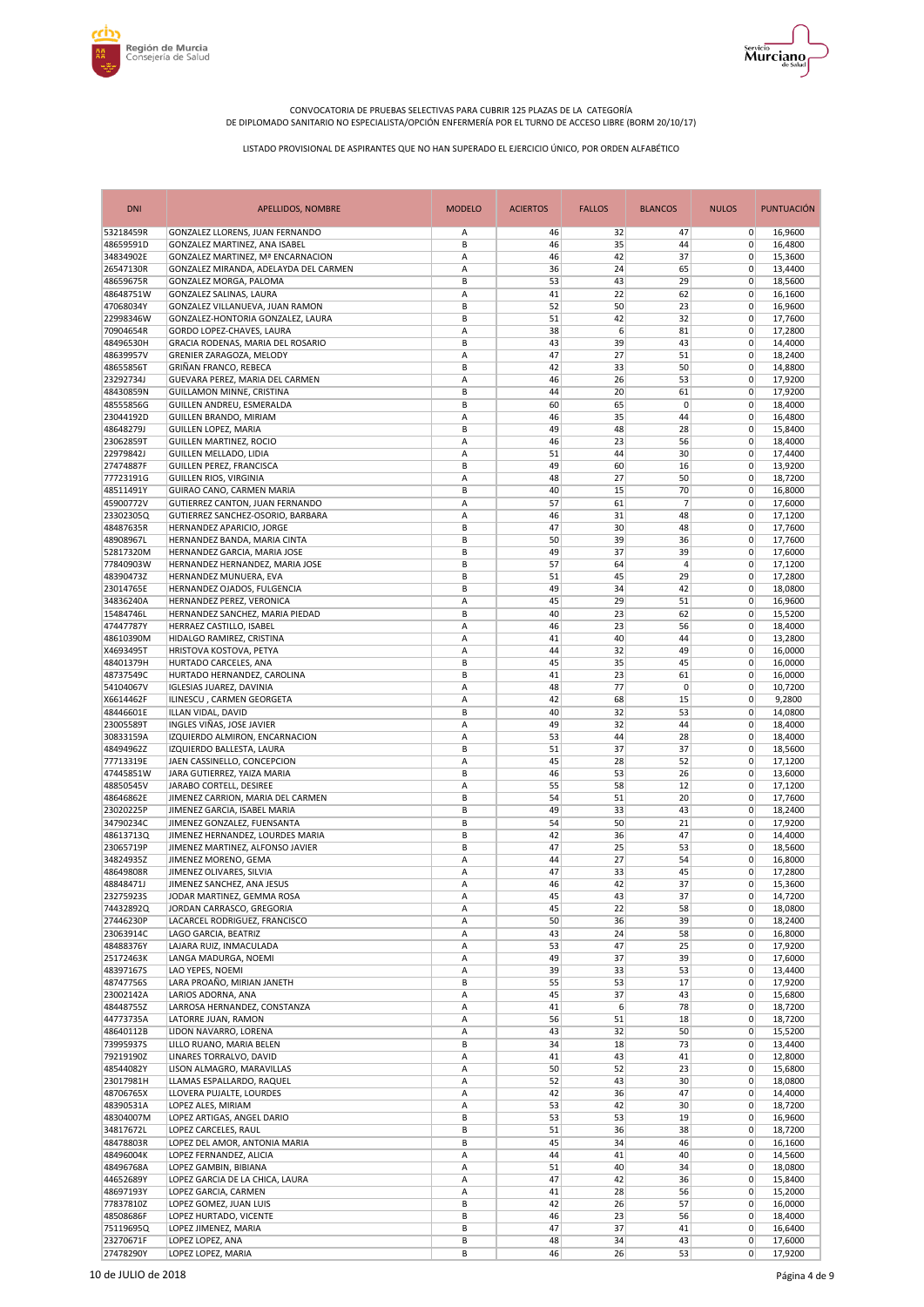



| <b>DNI</b>             | <b>APELLIDOS, NOMBRE</b>                                                   | <b>MODELO</b> | <b>ACIERTOS</b> | <b>FALLOS</b> | <b>BLANCOS</b> | <b>NULOS</b>               | PUNTUACIÓN         |
|------------------------|----------------------------------------------------------------------------|---------------|-----------------|---------------|----------------|----------------------------|--------------------|
| 53218459R              | GONZALEZ LLORENS, JUAN FERNANDO                                            | Α             | 46              | 32            | 47             | $\overline{0}$             | 16,9600            |
| 48659591D              | GONZALEZ MARTINEZ. ANA ISABEL                                              | B             | 46              | 35            | 44             | 0                          | 16.4800            |
| 34834902E<br>26547130R | GONZALEZ MARTINEZ, Mª ENCARNACION<br>GONZALEZ MIRANDA, ADELAYDA DEL CARMEN | Α<br>Α        | 46<br>36        | 42<br>24      | 37<br>65       | $\mathbf 0$<br>0           | 15,3600            |
| 48659675R              | GONZALEZ MORGA, PALOMA                                                     | B             | 53              | 43            | 29             | 0                          | 13,4400<br>18,5600 |
| 48648751W              | GONZALEZ SALINAS, LAURA                                                    | Α             | 41              | 22            | 62             | $\mathbf 0$                | 16,1600            |
| 47068034Y              | GONZALEZ VILLANUEVA, JUAN RAMON                                            | B             | 52              | 50            | 23             | 0                          | 16,9600            |
| 22998346W              | GONZALEZ-HONTORIA GONZALEZ, LAURA                                          | B             | 51              | 42            | 32             | $\mathbf 0$                | 17,7600            |
| 70904654R              | GORDO LOPEZ-CHAVES, LAURA                                                  | A             | 38              | 6             | 81             | $\mathbf 0$                | 17,2800            |
| 48496530H              | GRACIA RODENAS, MARIA DEL ROSARIO                                          | В             | 43              | 39            | 43             | 0                          | 14,4000            |
| 48639957V<br>48655856T | GRENIER ZARAGOZA, MELODY<br>GRIÑAN FRANCO, REBECA                          | Α<br>B        | 47<br>42        | 27<br>33      | 51<br>50       | $\mathbf 0$<br>$\mathbf 0$ | 18,2400<br>14,8800 |
| 23292734J              | GUEVARA PEREZ, MARIA DEL CARMEN                                            | Α             | 46              | 26            | 53             | $\mathbf 0$                | 17,9200            |
| 48430859N              | GUILLAMON MINNE, CRISTINA                                                  | B             | 44              | 20            | 61             | $\mathbf 0$                | 17,9200            |
| 48555856G              | GUILLEN ANDREU, ESMERALDA                                                  | B             | 60              | 65            | 0              | 0                          | 18,4000            |
| 23044192D              | GUILLEN BRANDO, MIRIAM                                                     | Α             | 46              | 35            | 44             | $\mathbf 0$                | 16,4800            |
| 48648279J              | <b>GUILLEN LOPEZ, MARIA</b>                                                | B             | 49              | 48            | 28             | $\mathbf 0$                | 15,8400            |
| 23062859T              | GUILLEN MARTINEZ, ROCIO                                                    | A             | 46              | 23            | 56             | 0                          | 18,4000            |
| 22979842J              | GUILLEN MELLADO, LIDIA                                                     | A<br>B        | 51              | 44<br>60      | 30             | $\mathbf 0$<br>$\mathbf 0$ | 17,4400            |
| 27474887F<br>77723191G | GUILLEN PEREZ, FRANCISCA<br>GUILLEN RIOS, VIRGINIA                         | Α             | 49<br>48        | 27            | 16<br>50       | $\mathbf 0$                | 13,9200<br>18,7200 |
| 48511491Y              | GUIRAO CANO, CARMEN MARIA                                                  | B             | 40              | 15            | 70             | $\mathbf 0$                | 16,8000            |
| 45900772V              | GUTIERREZ CANTON, JUAN FERNANDO                                            | Α             | 57              | 61            | 7              | $\mathbf 0$                | 17,6000            |
| 23302305Q              | GUTIERREZ SANCHEZ-OSORIO, BARBARA                                          | A             | 46              | 31            | 48             | 0                          | 17,1200            |
| 48487635R              | HERNANDEZ APARICIO, JORGE                                                  | B             | 47              | 30            | 48             | $\mathbf 0$                | 17,7600            |
| 48908967L              | HERNANDEZ BANDA, MARIA CINTA                                               | B             | 50              | 39            | 36             | 0                          | 17,7600            |
| 52817320M              | HERNANDEZ GARCIA, MARIA JOSE                                               | B             | 49              | 37            | 39             | 0                          | 17,6000            |
| 77840903W              | HERNANDEZ HERNANDEZ, MARIA JOSE                                            | B             | 57              | 64            | 4              | $\mathbf 0$                | 17,1200            |
| 48390473Z<br>23014765E | HERNANDEZ MUNUERA, EVA                                                     | B             | 51              | 45            | 29             | 0<br>$\mathbf 0$           | 17,2800            |
| 34836240A              | HERNANDEZ OJADOS, FULGENCIA<br>HERNANDEZ PEREZ, VERONICA                   | B<br>A        | 49<br>45        | 34<br>29      | 42<br>51       | $\mathbf 0$                | 18,0800<br>16,9600 |
| 15484746L              | HERNANDEZ SANCHEZ, MARIA PIEDAD                                            | B             | 40              | 23            | 62             | 0                          | 15,5200            |
| 47447787Y              | HERRAEZ CASTILLO, ISABEL                                                   | Α             | 46              | 23            | 56             | $\mathbf 0$                | 18,4000            |
| 48610390M              | HIDALGO RAMIREZ, CRISTINA                                                  | А             | 41              | 40            | 44             | $\mathbf 0$                | 13,2800            |
| X4693495T              | HRISTOVA KOSTOVA, PETYA                                                    | Α             | 44              | 32            | 49             | 0                          | 16,0000            |
| 48401379H              | HURTADO CARCELES, ANA                                                      | B             | 45              | 35            | 45             | $\mathbf 0$                | 16,0000            |
| 48737549C              | HURTADO HERNANDEZ, CAROLINA                                                | B             | 41              | 23            | 61             | $\mathbf 0$                | 16,0000            |
| 54104067V              | <b>IGLESIAS JUAREZ, DAVINIA</b>                                            | Α             | 48              | 77            | 0              | $\mathbf 0$                | 10,7200            |
| X6614462F              | ILINESCU, CARMEN GEORGETA                                                  | Α<br>B        | 42<br>40        | 68<br>32      | 15             | 0                          | 9,2800             |
| 48446601E<br>23005589T | ILLAN VIDAL, DAVID<br>INGLES VIÑAS, JOSE JAVIER                            | Α             | 49              | 32            | 53<br>44       | $\mathbf 0$<br>$\mathbf 0$ | 14,0800<br>18,4000 |
| 30833159A              | IZQUIERDO ALMIRON, ENCARNACION                                             | Α             | 53              | 44            | 28             | $\mathbf 0$                | 18,4000            |
| 48494962Z              | IZQUIERDO BALLESTA, LAURA                                                  | B             | 51              | 37            | 37             | 0                          | 18,5600            |
| 77713319E              | JAEN CASSINELLO, CONCEPCION                                                | Α             | 45              | 28            | 52             | $\mathbf 0$                | 17,1200            |
| 47445851W              | JARA GUTIERREZ, YAIZA MARIA                                                | B             | 46              | 53            | 26             | $\mathbf 0$                | 13,6000            |
| 48850545V              | JARABO CORTELL, DESIREE                                                    | А             | 55              | 58            | 12             | 0                          | 17,1200            |
| 48646862E              | JIMENEZ CARRION, MARIA DEL CARMEN                                          | B             | 54              | 51            | 20             | $\mathbf 0$                | 17,7600            |
| 23020225P<br>34790234C | JIMENEZ GARCIA, ISABEL MARIA<br>JIMENEZ GONZALEZ, FUENSANTA                | B<br>B        | 49<br>54        | 33<br>50      | 43<br>21       | $\mathbf 0$<br>0           | 18,2400<br>17,9200 |
| 48613713Q              | JIMENEZ HERNANDEZ, LOURDES MARIA                                           | B             | 42              | 36            | 47             | 0                          | 14,4000            |
| 23065719P              | JIMENEZ MARTINEZ, ALFONSO JAVIER                                           | B             | 47              | 25            | 53             | 0                          | 18,5600            |
| 34824935Z              | JIMENEZ MORENO, GEMA                                                       | Α             | 44              | 27            | 54             | 0                          | 16,8000            |
| 48649808R              | JIMENEZ OLIVARES, SILVIA                                                   | A             | 47              | 33            | 45             | $\mathbf 0$                | 17,2800            |
| 48848471J              | JIMENEZ SANCHEZ, ANA JESUS                                                 | Α             | 46              | 42            | 37             | $\overline{0}$             | 15,3600            |
| 23275923S              | JODAR MARTINEZ, GEMMA ROSA                                                 | Α             | 45              | 43            | 37             | $\overline{0}$             | 14,7200            |
| 74432892Q              | JORDAN CARRASCO, GREGORIA                                                  | Α             | 45              | 22            | 58             | 0                          | 18,0800            |
| 27446230P              | LACARCEL RODRIGUEZ, FRANCISCO<br>LAGO GARCIA, BEATRIZ                      | А             | 50              | 36            | 39             | 0                          | 18,2400            |
| 23063914C<br>48488376Y | LAJARA RUIZ, INMACULADA                                                    | Α<br>Α        | 43<br>53        | 24<br>47      | 58<br>25       | 0<br>0                     | 16,8000<br>17,9200 |
| 25172463K              | LANGA MADURGA, NOEMI                                                       | Α             | 49              | 37            | 39             | 0                          | 17,6000            |
| 48397167S              | LAO YEPES, NOEMI                                                           | Α             | 39              | 33            | 53             | 0                          | 13,4400            |
| 48747756S              | LARA PROAÑO, MIRIAN JANETH                                                 | B             | 55              | 53            | 17             | $\mathbf 0$                | 17,9200            |
| 23002142A              | LARIOS ADORNA, ANA                                                         | Α             | 45              | 37            | 43             | $\overline{0}$             | 15,6800            |
| 48448755Z              | LARROSA HERNANDEZ, CONSTANZA                                               | Α             | 41              | 6             | 78             | 0                          | 18,7200            |
| 44773735A              | LATORRE JUAN, RAMON                                                        | Α             | 56              | 51            | 18             | 0                          | 18,7200            |
| 48640112B              | LIDON NAVARRO, LORENA                                                      | Α             | 43              | 32            | 50             | 0                          | 15,5200            |
| 73995937S<br>79219190Z | LILLO RUANO, MARIA BELEN<br>LINARES TORRALVO, DAVID                        | В             | 34              | 18<br>43      | 73<br>41       | $\mathbf 0$                | 13,4400            |
| 48544082Y              | LISON ALMAGRO, MARAVILLAS                                                  | Α<br>Α        | 41<br>50        | 52            | 23             | 0<br>0                     | 12,8000<br>15,6800 |
| 23017981H              | LLAMAS ESPALLARDO, RAQUEL                                                  | Α             | 52              | 43            | 30             | $\mathbf 0$                | 18,0800            |
| 48706765X              | LLOVERA PUJALTE, LOURDES                                                   | Α             | 42              | 36            | 47             | 0                          | 14,4000            |
| 48390531A              | LOPEZ ALES, MIRIAM                                                         | Α             | 53              | 42            | 30             | 0                          | 18,7200            |
| 48304007M              | LOPEZ ARTIGAS, ANGEL DARIO                                                 | В             | 53              | 53            | 19             | 0                          | 16,9600            |
| 34817672L              | LOPEZ CARCELES, RAUL                                                       | В             | 51              | 36            | 38             | $\mathbf 0$                | 18,7200            |
| 48478803R              | LOPEZ DEL AMOR, ANTONIA MARIA                                              | В             | 45              | 34            | 46             | 0                          | 16,1600            |
| 48496004K              | LOPEZ FERNANDEZ, ALICIA                                                    | Α             | 44              | 41            | 40             | 0                          | 14,5600            |
| 48496768A              | LOPEZ GAMBIN, BIBIANA                                                      | Α             | 51              | 40            | 34             | 0                          | 18,0800            |
| 44652689Y<br>48697193Y | LOPEZ GARCIA DE LA CHICA, LAURA<br>LOPEZ GARCIA, CARMEN                    | Α<br>Α        | 47<br>41        | 42<br>28      | 36<br>56       | 0<br>0                     | 15,8400<br>15,2000 |
| 77837810Z              | LOPEZ GOMEZ, JUAN LUIS                                                     | В             | 42              | 26            | 57             | 0                          | 16,0000            |
| 48508686F              | LOPEZ HURTADO, VICENTE                                                     | B             | 46              | 23            | 56             | 0                          | 18,4000            |
| 75119695Q              | LOPEZ JIMENEZ, MARIA                                                       | B             | 47              | 37            | 41             | 0                          | 16,6400            |
| 23270671F              | LOPEZ LOPEZ, ANA                                                           | В             | 48              | 34            | 43             | 0                          | 17,6000            |
| 27478290Y              | LOPEZ LOPEZ, MARIA                                                         | В             | 46              | 26            | 53             | $\mathbf 0$                | 17,9200            |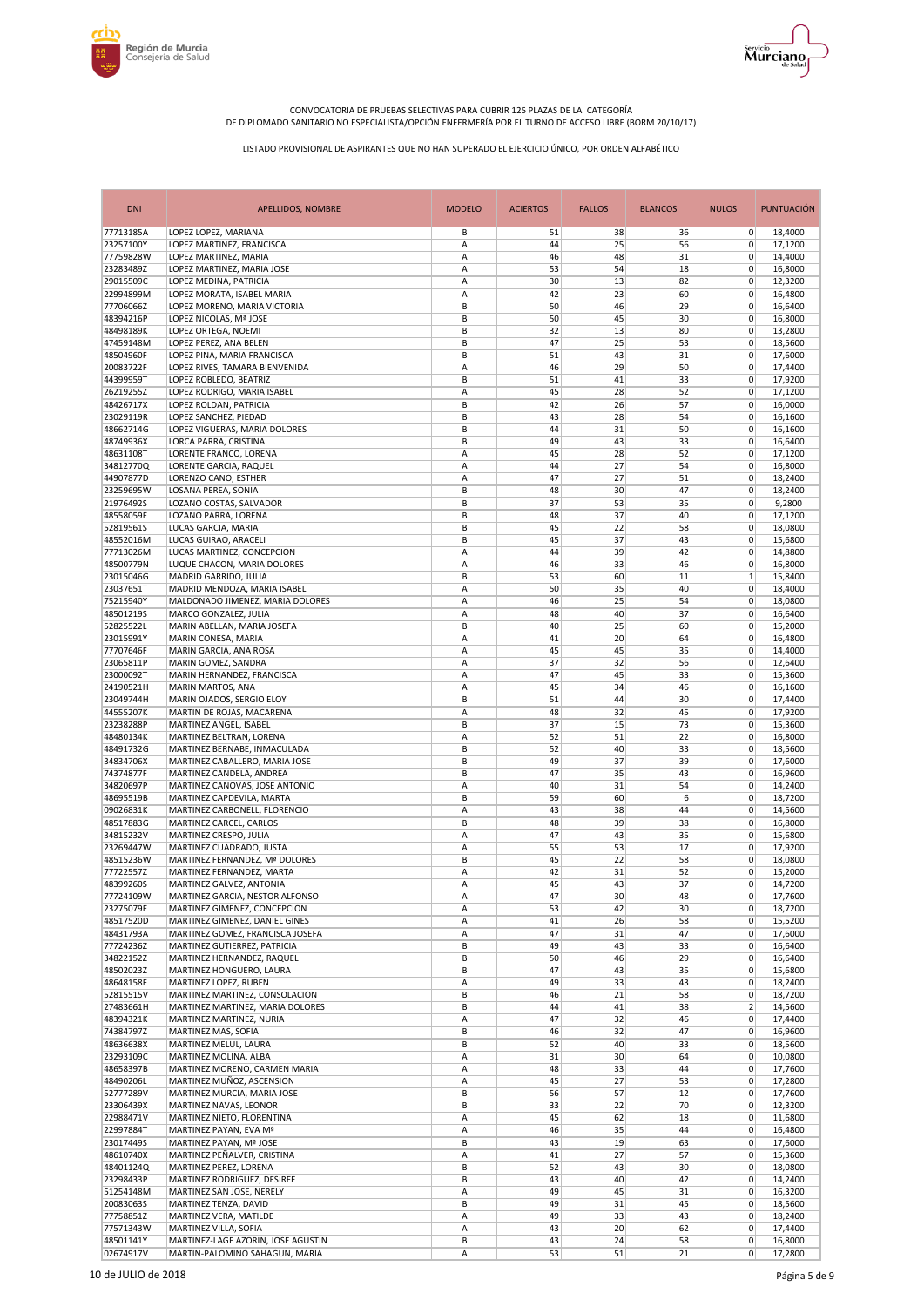



| <b>DNI</b>             | <b>APELLIDOS, NOMBRE</b>                                       | <b>MODELO</b> | <b>ACIERTOS</b> | <b>FALLOS</b> | <b>BLANCOS</b> | <b>NULOS</b>               | <b>PUNTUACIÓN</b>  |
|------------------------|----------------------------------------------------------------|---------------|-----------------|---------------|----------------|----------------------------|--------------------|
| 77713185A              | LOPEZ LOPEZ, MARIANA                                           | В             | 51              | 38            | 36             | $\overline{0}$             | 18,4000            |
| 23257100Y              | LOPEZ MARTINEZ, FRANCISCA                                      | Α             | 44              | 25            | 56             | 0                          | 17.1200            |
| 77759828W<br>23283489Z | LOPEZ MARTINEZ, MARIA<br>LOPEZ MARTINEZ, MARIA JOSE            | Α<br>Α        | 46<br>53        | 48<br>54      | 31<br>18       | $\mathbf 0$<br>0           | 14,4000<br>16,8000 |
| 29015509C              | LOPEZ MEDINA, PATRICIA                                         | Α             | 30              | 13            | 82             | 0                          | 12,3200            |
| 22994899M              | LOPEZ MORATA, ISABEL MARIA                                     | Α             | 42              | 23            | 60             | 0                          | 16,4800            |
| 77706066Z              | LOPEZ MORENO, MARIA VICTORIA                                   | B             | 50              | 46            | 29             | 0                          | 16,6400            |
| 48394216P              | LOPEZ NICOLAS, Mª JOSE                                         | B             | 50              | 45            | 30             | 0                          | 16,8000            |
| 48498189K              | LOPEZ ORTEGA, NOEMI                                            | B             | 32              | 13            | 80             | $\mathbf 0$                | 13,2800            |
| 47459148M<br>48504960F | LOPEZ PEREZ, ANA BELEN<br>LOPEZ PINA, MARIA FRANCISCA          | B<br>B        | 47<br>51        | 25<br>43      | 53<br>31       | $\mathbf 0$<br>$\mathbf 0$ | 18,5600<br>17,6000 |
| 20083722F              | LOPEZ RIVES, TAMARA BIENVENIDA                                 | A             | 46              | 29            | 50             | $\mathbf 0$                | 17,4400            |
| 44399959T              | LOPEZ ROBLEDO, BEATRIZ                                         | B             | 51              | 41            | 33             | 0                          | 17,9200            |
| 26219255Z              | LOPEZ RODRIGO, MARIA ISABEL                                    | А             | 45              | 28            | 52             | $\mathbf 0$                | 17,1200            |
| 48426717X              | LOPEZ ROLDAN, PATRICIA                                         | B             | 42              | 26            | 57             | $\mathbf 0$                | 16,0000            |
| 23029119R              | LOPEZ SANCHEZ, PIEDAD                                          | B             | 43              | 28            | 54             | 0                          | 16,1600            |
| 48662714G<br>48749936X | LOPEZ VIGUERAS, MARIA DOLORES                                  | B<br>B        | 44<br>49        | 31<br>43      | 50<br>33       | $\mathbf 0$<br>0           | 16,1600            |
| 48631108T              | LORCA PARRA, CRISTINA<br>LORENTE FRANCO, LORENA                | Α             | 45              | 28            | 52             | $\mathbf 0$                | 16,6400<br>17,1200 |
| 34812770Q              | LORENTE GARCIA, RAQUEL                                         | А             | 44              | 27            | 54             | $\mathbf 0$                | 16,8000            |
| 44907877D              | LORENZO CANO, ESTHER                                           | Α             | 47              | 27            | 51             | 0                          | 18,2400            |
| 23259695W              | LOSANA PEREA, SONIA                                            | B             | 48              | 30            | 47             | $\mathbf 0$                | 18,2400            |
| 21976492S              | LOZANO COSTAS, SALVADOR                                        | B             | 37              | 53            | 35             | $\mathbf 0$                | 9,2800             |
| 48558059E              | LOZANO PARRA, LORENA                                           | B             | 48              | 37            | 40             | 0                          | 17,1200            |
| 52819561S<br>48552016M | LUCAS GARCIA, MARIA<br>LUCAS GUIRAO, ARACELI                   | B<br>B        | 45<br>45        | 22<br>37      | 58<br>43       | $\mathbf 0$<br>$\mathbf 0$ | 18,0800<br>15,6800 |
| 77713026M              | LUCAS MARTINEZ, CONCEPCION                                     | Α             | 44              | 39            | 42             | 0                          | 14,8800            |
| 48500779N              | LUQUE CHACON, MARIA DOLORES                                    | A             | 46              | 33            | 46             | $\mathbf 0$                | 16,8000            |
| 23015046G              | MADRID GARRIDO, JULIA                                          | B             | 53              | 60            | 11             | $\mathbf{1}$               | 15,8400            |
| 23037651T              | MADRID MENDOZA, MARIA ISABEL                                   | Α             | 50              | 35            | 40             | $\mathbf 0$                | 18,4000            |
| 75215940Y              | MALDONADO JIMENEZ, MARIA DOLORES                               | A             | 46              | 25            | 54             | $\mathbf 0$                | 18,0800            |
| 485012195              | MARCO GONZALEZ, JULIA                                          | А             | 48              | 40            | 37             | 0                          | 16,6400            |
| 52825522L<br>23015991Y | MARIN ABELLAN, MARIA JOSEFA                                    | B<br>A        | 40<br>41        | 25<br>20      | 60<br>64       | 0<br>$\mathbf 0$           | 15,2000<br>16,4800 |
| 77707646F              | MARIN CONESA, MARIA<br>MARIN GARCIA, ANA ROSA                  | Α             | 45              | 45            | 35             | 0                          | 14,4000            |
| 23065811P              | MARIN GOMEZ, SANDRA                                            | Α             | 37              | 32            | 56             | $\mathbf 0$                | 12,6400            |
| 23000092T              | MARIN HERNANDEZ, FRANCISCA                                     | A             | 47              | 45            | 33             | $\mathbf 0$                | 15,3600            |
| 24190521H              | MARIN MARTOS, ANA                                              | Α             | 45              | 34            | 46             | $\mathbf 0$                | 16,1600            |
| 23049744H              | MARIN OJADOS, SERGIO ELOY                                      | B             | 51              | 44            | 30             | $\mathbf 0$                | 17,4400            |
| 44555207K              | MARTIN DE ROJAS, MACARENA                                      | A             | 48              | 32            | 45             | $\mathbf 0$                | 17,9200            |
| 23238288P<br>48480134K | MARTINEZ ANGEL, ISABEL<br>MARTINEZ BELTRAN, LORENA             | B<br>A        | 37<br>52        | 15<br>51      | 73<br>22       | 0<br>$\mathbf 0$           | 15,3600<br>16,8000 |
| 48491732G              | MARTINEZ BERNABE, INMACULADA                                   | B             | 52              | 40            | 33             | $\mathbf 0$                | 18,5600            |
| 34834706X              | MARTINEZ CABALLERO, MARIA JOSE                                 | B             | 49              | 37            | 39             | 0                          | 17,6000            |
| 74374877F              | MARTINEZ CANDELA, ANDREA                                       | B             | 47              | 35            | 43             | $\mathbf 0$                | 16,9600            |
| 34820697P              | MARTINEZ CANOVAS, JOSE ANTONIO                                 | A             | 40              | 31            | 54             | 0                          | 14,2400            |
| 48695519B              | MARTINEZ CAPDEVILA, MARTA                                      | B             | 59              | 60            | 6              | $\mathbf 0$                | 18,7200            |
| 09026831K<br>48517883G | MARTINEZ CARBONELL, FLORENCIO                                  | Α             | 43              | 38<br>39      | 44             | $\mathbf 0$                | 14,5600            |
| 34815232V              | MARTINEZ CARCEL, CARLOS<br>MARTINEZ CRESPO, JULIA              | B<br>Α        | 48<br>47        | 43            | 38<br>35       | $\mathbf 0$<br>0           | 16,8000<br>15,6800 |
| 23269447W              | MARTINEZ CUADRADO, JUSTA                                       | Α             | 55              | 53            | 17             | $\mathbf 0$                | 17,9200            |
| 48515236W              | MARTINEZ FERNANDEZ, Mª DOLORES                                 | B             | 45              | 22            | 58             | 0                          | 18,0800            |
| 77722557Z              | MARTINEZ FERNANDEZ, MARTA                                      | A             | 42              | 31            | 52             | $\mathbf 0$                | 15,2000            |
| 48399260S              | MARTINEZ GALVEZ, ANTONIA                                       | Α             | 45              | 43            | 37             | $\overline{0}$             | 14,7200            |
| 77724109W              | MARTINEZ GARCIA, NESTOR ALFONSO                                | Α             | 47              | 30            | 48             | $\mathbf{0}$               | 17,7600            |
| 23275079E<br>48517520D | MARTINEZ GIMENEZ, CONCEPCION<br>MARTINEZ GIMENEZ, DANIEL GINES | Α<br>Α        | 53<br>41        | 42<br>26      | 30<br>58       | 0<br>0                     | 18,7200<br>15,5200 |
| 48431793A              | MARTINEZ GOMEZ, FRANCISCA JOSEFA                               | Α             | 47              | 31            | 47             | $\mathbf 0$                | 17,6000            |
| 77724236Z              | MARTINEZ GUTIERREZ, PATRICIA                                   | B             | 49              | 43            | 33             | 0                          | 16,6400            |
| 34822152Z              | MARTINEZ HERNANDEZ, RAQUEL                                     | В             | 50              | 46            | 29             | 0                          | 16,6400            |
| 48502023Z              | MARTINEZ HONGUERO, LAURA                                       | В             | 47              | 43            | 35             | 0                          | 15,6800            |
| 48648158F              | MARTINEZ LOPEZ, RUBEN                                          | Α             | 49              | 33            | 43             | 0                          | 18,2400            |
| 52815515V<br>27483661H | MARTINEZ MARTINEZ, CONSOLACION                                 | B             | 46              | 21            | 58             | 0<br>$\overline{2}$        | 18,7200            |
| 48394321K              | MARTINEZ MARTINEZ, MARIA DOLORES<br>MARTINEZ MARTINEZ, NURIA   | B<br>Α        | 44<br>47        | 41<br>32      | 38<br>46       | 0                          | 14,5600<br>17,4400 |
| 74384797Z              | MARTINEZ MAS, SOFIA                                            | В             | 46              | 32            | 47             | 0                          | 16,9600            |
| 48636638X              | MARTINEZ MELUL, LAURA                                          | B             | 52              | 40            | 33             | 0                          | 18,5600            |
| 23293109C              | MARTINEZ MOLINA, ALBA                                          | Α             | 31              | 30            | 64             | 0                          | 10,0800            |
| 48658397B              | MARTINEZ MORENO, CARMEN MARIA                                  | Α             | 48              | 33            | 44             | $\mathbf 0$                | 17,7600            |
| 48490206L              | MARTINEZ MUÑOZ, ASCENSION                                      | Α             | 45              | 27            | 53             | 0                          | 17,2800            |
| 52777289V<br>23306439X | MARTINEZ MURCIA, MARIA JOSE                                    | B<br>В        | 56              | 57            | 12             | 0<br>$\mathbf 0$           | 17,7600            |
| 22988471V              | MARTINEZ NAVAS, LEONOR<br>MARTINEZ NIETO, FLORENTINA           | Α             | 33<br>45        | 22<br>62      | 70<br>18       | 0                          | 12,3200<br>11,6800 |
| 22997884T              | MARTINEZ PAYAN, EVA Mª                                         | Α             | 46              | 35            | 44             | $\mathbf 0$                | 16,4800            |
| 23017449S              | MARTINEZ PAYAN, Mª JOSE                                        | B             | 43              | 19            | 63             | 0                          | 17,6000            |
| 48610740X              | MARTINEZ PEÑALVER, CRISTINA                                    | Α             | 41              | 27            | 57             | 0                          | 15,3600            |
| 48401124Q              | MARTINEZ PEREZ, LORENA                                         | B             | 52              | 43            | 30             | 0                          | 18,0800            |
| 23298433P              | MARTINEZ RODRIGUEZ, DESIREE                                    | В             | 43              | 40            | 42             | 0                          | 14,2400            |
| 51254148M              | MARTINEZ SAN JOSE, NERELY                                      | Α             | 49              | 45            | 31             | 0                          | 16,3200            |
| 20083063S<br>77758851Z | MARTINEZ TENZA, DAVID<br>MARTINEZ VERA, MATILDE                | B<br>Α        | 49<br>49        | 31<br>33      | 45<br>43       | 0<br>0                     | 18,5600<br>18,2400 |
| 77571343W              | MARTINEZ VILLA, SOFIA                                          | Α             | 43              | 20            | 62             | 0                          | 17,4400            |
| 48501141Y              | MARTINEZ-LAGE AZORIN, JOSE AGUSTIN                             | В             | 43              | 24            | 58             | 0                          | 16,8000            |
| 02674917V              | MARTIN-PALOMINO SAHAGUN, MARIA                                 | Α             | 53              | 51            | 21             | 0                          | 17,2800            |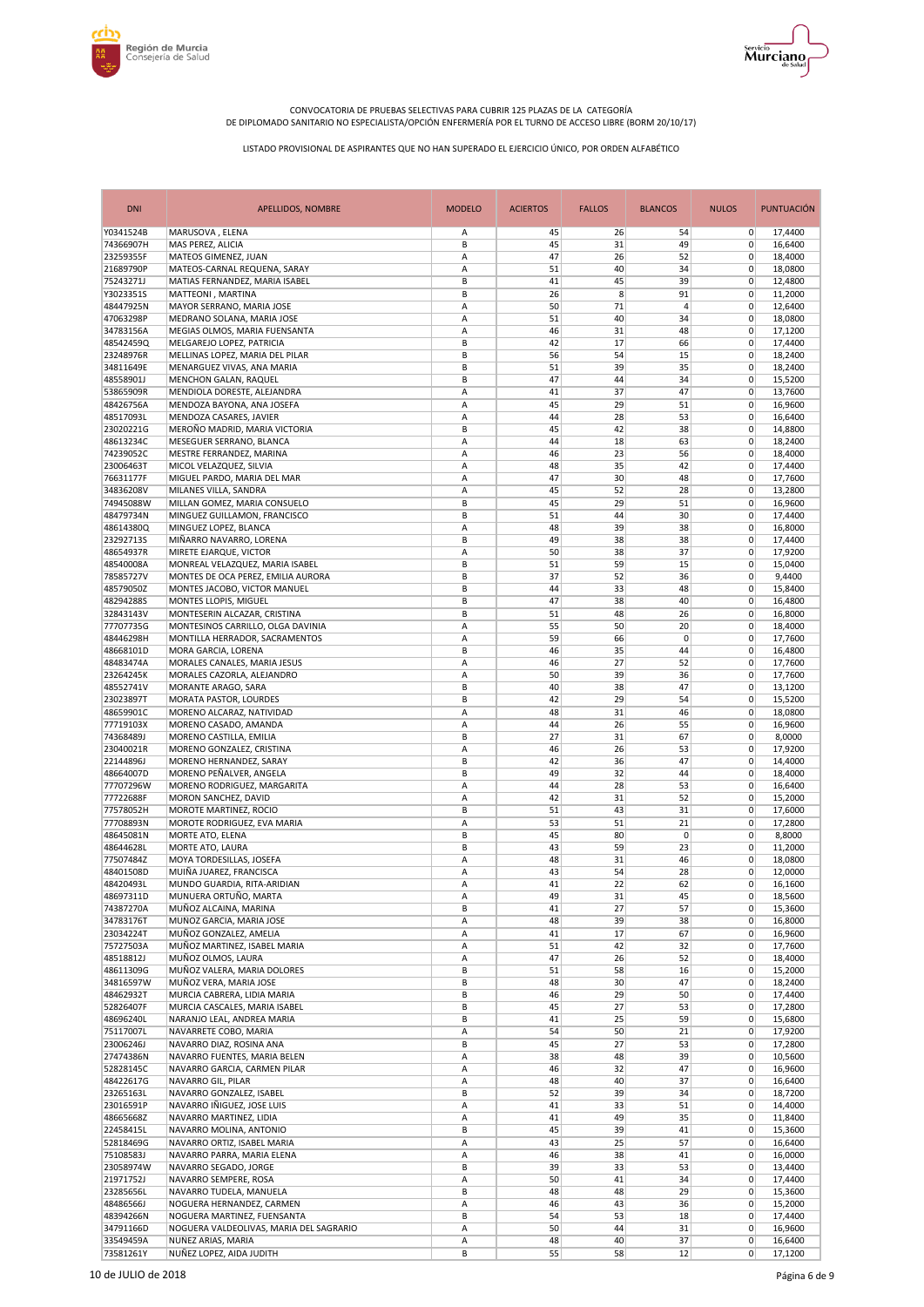



| <b>DNI</b>             | <b>APELLIDOS, NOMBRE</b>                | <b>MODELO</b> | <b>ACIERTOS</b> | <b>FALLOS</b> | <b>BLANCOS</b> | <b>NULOS</b>               | <b>PUNTUACIÓN</b> |
|------------------------|-----------------------------------------|---------------|-----------------|---------------|----------------|----------------------------|-------------------|
| Y0341524B              | MARUSOVA, ELENA                         | Α             | 45              | 26            | 54             | $\overline{0}$             | 17,4400           |
| 74366907H              | MAS PEREZ, ALICIA                       | B             | 45              | 31            | 49             | $\mathbf 0$                | 16,6400           |
| 23259355F              | MATEOS GIMENEZ, JUAN                    | А             | 47              | 26            | 52             | 0                          | 18,4000           |
| 21689790P              | MATEOS-CARNAL REQUENA, SARAY            | А             | 51              | 40            | 34             | 0                          | 18,0800           |
| 75243271J              | MATIAS FERNANDEZ, MARIA ISABEL          | B             | 41              | 45            | 39             | $\mathbf 0$                | 12,4800           |
| Y3023351S              | MATTEONI, MARTINA                       | B             | 26              | 8             | 91             | 0                          | 11,2000           |
| 48447925N              | MAYOR SERRANO, MARIA JOSE               | А             | 50              | 71            | 4              | $\mathbf 0$                | 12,6400           |
| 47063298P              | MEDRANO SOLANA, MARIA JOSE              | А             | 51              | 40            | 34             | $\mathbf 0$                | 18,0800           |
| 34783156A              | MEGIAS OLMOS, MARIA FUENSANTA           | А             | 46              | 31            | 48             | 0                          | 17,1200           |
| 48542459Q              | MELGAREJO LOPEZ, PATRICIA               | B             | 42              | 17            | 66             | $\mathbf 0$                | 17.4400           |
| 23248976R              | MELLINAS LOPEZ, MARIA DEL PILAR         | B             | 56              | 54            | 15             | $\mathbf 0$                | 18,2400           |
| 34811649E              | MENARGUEZ VIVAS, ANA MARIA              | B             | 51              | 39            | 35             | $\mathbf 0$                | 18,2400           |
| 48558901J              | MENCHON GALAN, RAQUEL                   | B             | 47              | 44            | 34             | $\mathbf 0$                | 15,5200           |
| 53865909R              | MENDIOLA DORESTE, ALEJANDRA             | А             | 41              | 37            | 47             | $\mathbf 0$                | 13,7600           |
| 48426756A              | MENDOZA BAYONA, ANA JOSEFA              | Α             | 45              | 29            | 51             | 0                          | 16,9600           |
| 48517093L              | MENDOZA CASARES, JAVIER                 | A             | 44              | 28            | 53             | $\mathbf 0$                | 16,6400           |
| 23020221G              | MEROÑO MADRID, MARIA VICTORIA           | B             | 45              | 42            | 38             | 0                          | 14,8800           |
| 48613234C              | MESEGUER SERRANO, BLANCA                | Α             | 44              | 18            | 63             | 0                          | 18,2400           |
| 74239052C              | MESTRE FERRANDEZ, MARINA                | А             | 46              | 23            | 56             | $\mathbf 0$                | 18,4000           |
| 23006463T              | MICOL VELAZQUEZ, SILVIA                 | А             | 48              | 35            | 42             | 0                          | 17,4400           |
| 76631177F              | MIGUEL PARDO, MARIA DEL MAR             | Α             | 47              | 30            | 48             | 0                          | 17,7600           |
| 34836208V              | MILANES VILLA, SANDRA                   | A             | 45              | 52            | 28             | $\mathbf 0$                | 13,2800           |
| 74945088W              | MILLAN GOMEZ, MARIA CONSUELO            | B             | 45              | 29            | 51             | 0                          | 16,9600           |
| 48479734N              | MINGUEZ GUILLAMON, FRANCISCO            | B             | 51              | 44            | 30             | $\mathbf 0$                | 17.4400           |
| 48614380Q              | MINGUEZ LOPEZ, BLANCA                   | A             | 48              | 39            | 38             | $\mathbf 0$                | 16,8000           |
| 23292713S              | MIÑARRO NAVARRO, LORENA                 | В             | 49              | 38            | 38             | $\mathbf 0$                | 17,4400           |
| 48654937R              | MIRETE EJARQUE, VICTOR                  | Α             | 50              | 38            | 37             | $\mathbf 0$                | 17,9200           |
| 48540008A              | MONREAL VELAZQUEZ, MARIA ISABEL         | B             | 51              | 59            | 15             | $\mathbf 0$                | 15,0400           |
| 78585727V              | MONTES DE OCA PEREZ, EMILIA AURORA      | B             | 37              | 52            | 36             | 0                          | 9,4400            |
| 48579050Z              | MONTES JACOBO, VICTOR MANUEL            | B             | 44              | 33            | 48             | $\mathbf 0$                | 15,8400           |
| 48294288S              | MONTES LLOPIS, MIGUEL                   | B             | 47              | 38            | 40             | $\mathbf 0$                | 16,4800           |
| 32843143V              | MONTESERIN ALCAZAR, CRISTINA            | B             | 51              | 48            | 26             | $\mathbf 0$                | 16,8000           |
| 77707735G              | MONTESINOS CARRILLO, OLGA DAVINIA       | Α             | 55              | 50            | 20             | $\mathbf 0$                | 18,4000           |
| 48446298H              | MONTILLA HERRADOR, SACRAMENTOS          | A             | 59              | 66            | $\mathbf 0$    | 0                          | 17,7600           |
| 48668101D              | MORA GARCIA, LORENA                     | B             | 46              | 35            | 44             | $\mathbf 0$                | 16,4800           |
| 48483474A              | MORALES CANALES, MARIA JESUS            | Α             | 46              | 27            | 52             | $\mathbf 0$                | 17,7600           |
| 23264245K              | MORALES CAZORLA, ALEJANDRO              | Α             | 50              | 39            | 36             | $\mathbf 0$                | 17,7600           |
| 48552741V              | MORANTE ARAGO, SARA                     | B             | 40              | 38            | 47             | $\mathbf 0$                | 13,1200           |
| 23023897T              | MORATA PASTOR, LOURDES                  | B             | 42              | 29            | 54             | $\mathbf 0$                | 15,5200           |
| 48659901C              | MORENO ALCARAZ, NATIVIDAD               | Α             | 48              | 31            | 46             | $\mathbf 0$                | 18,0800           |
| 77719103X              | MORENO CASADO, AMANDA                   | A             | 44              | 26            | 55             | $\mathbf 0$                | 16,9600           |
| 74368489J              | MORENO CASTILLA, EMILIA                 | B             | 27              | 31            | 67             | $\mathbf 0$                | 8,0000            |
| 23040021R              | MORENO GONZALEZ, CRISTINA               | Α             | 46              | 26            | 53             | 0                          | 17,9200           |
| 22144896J              | MORENO HERNANDEZ, SARAY                 | B             | 42              | 36            | 47             | $\mathbf 0$                | 14,4000           |
| 48664007D              | MORENO PEÑALVER, ANGELA                 | B             | 49              | 32            | 44             | 0                          | 18,4000           |
| 77707296W              | MORENO RODRIGUEZ, MARGARITA             | Α             | 44              | 28            | 53             | $\mathbf 0$                | 16,6400           |
| 77722688F<br>77578052H | MORON SANCHEZ, DAVID                    | A             | 42              | 31            | 52             | $\mathbf 0$                | 15,2000           |
|                        | MOROTE MARTINEZ, ROCIO                  | B             | 51              | 43<br>51      | 31             | $\mathbf 0$<br>$\mathbf 0$ | 17,6000           |
| 77708893N<br>48645081N | MOROTE RODRIGUEZ, EVA MARIA             | Α<br>B        | 53<br>45        | 80            | 21<br>0        | $\mathbf 0$                | 17,2800           |
| 48644628L              | MORTE ATO, ELENA<br>MORTE ATO, LAURA    | B             | 43              | 59            | 23             | $\mathbf 0$                | 8,8000<br>11,2000 |
| 77507484Z              | MOYA TORDESILLAS, JOSEFA                | Α             | 48              | 31            | 46             | 0                          | 18,0800           |
| 48401508D              | MUIÑA JUAREZ, FRANCISCA                 | A             | 43              | 54            | 28             | $\mathbf 0$                | 12,0000           |
| 48420493L              | MUNDO GUARDIA, RITA-ARIDIAN             | A             | 41              | 22            | 62             | 0                          | 16,1600           |
| 48697311D              | MUNUERA ORTUÑO, MARTA                   | А             | 49              | 31            | 45             | $\pmb{0}$                  | 18,5600           |
| 74387270A              | MUÑOZ ALCAINA, MARINA                   | B             | 41              | 27            | 57             | 0                          | 15,3600           |
| 34783176T              | MUÑOZ GARCIA, MARIA JOSE                | Α             | 48              | 39            | 38             | 0                          | 16,8000           |
| 23034224T              | MUÑOZ GONZALEZ, AMELIA                  | Α             | 41              | 17            | 67             | 0                          | 16,9600           |
| 75727503A              | MUÑOZ MARTINEZ, ISABEL MARIA            | А             | 51              | 42            | 32             | 0                          | 17,7600           |
| 48518812J              | MUÑOZ OLMOS, LAURA                      | Α             | 47              | 26            | 52             | 0                          | 18,4000           |
| 48611309G              | MUÑOZ VALERA, MARIA DOLORES             | В             | 51              | 58            | 16             | 0                          | 15,2000           |
| 34816597W              | MUÑOZ VERA, MARIA JOSE                  | B             | 48              | 30            | 47             | 0                          | 18,2400           |
| 48462932T              | MURCIA CABRERA, LIDIA MARIA             | В             | 46              | 29            | 50             | 0                          | 17,4400           |
| 52826407F              | MURCIA CASCALES, MARIA ISABEL           | В             | 45              | 27            | 53             | 0                          | 17,2800           |
| 48696240L              | NARANJO LEAL, ANDREA MARIA              | В             | 41              | 25            | 59             | $\mathbf 0$                | 15,6800           |
| 75117007L              | NAVARRETE COBO, MARIA                   | А             | 54              | 50            | 21             | 0                          | 17,9200           |
| 23006246J              | NAVARRO DIAZ, ROSINA ANA                | B             | 45              | 27            | 53             | 0                          | 17,2800           |
| 27474386N              | NAVARRO FUENTES, MARIA BELEN            | Α             | 38              | 48            | 39             | 0                          | 10,5600           |
| 52828145C              | NAVARRO GARCIA, CARMEN PILAR            | Α             | 46              | 32            | 47             | 0                          | 16,9600           |
| 48422617G              | NAVARRO GIL, PILAR                      | A             | 48              | 40            | 37             | $\pmb{0}$                  | 16,6400           |
| 23265163L              | NAVARRO GONZALEZ, ISABEL                | В             | 52              | 39            | 34             | $\mathbf 0$                | 18,7200           |
| 23016591P              | NAVARRO IÑIGUEZ, JOSE LUIS              | Α             | 41              | 33            | 51             | 0                          | 14,4000           |
| 48665668Z              | NAVARRO MARTINEZ, LIDIA                 | А             | 41              | 49            | 35             | 0                          | 11,8400           |
| 22458415L              | NAVARRO MOLINA, ANTONIO                 | В             | 45              | 39            | 41             | 0                          | 15,3600           |
| 52818469G              | NAVARRO ORTIZ, ISABEL MARIA             | Α             | 43              | 25            | 57             | 0                          | 16,6400           |
| 75108583J              | NAVARRO PARRA, MARIA ELENA              | Α             | 46              | 38            | 41             | 0                          | 16,0000           |
| 23058974W              | NAVARRO SEGADO, JORGE                   | В             | 39              | 33            | 53             | 0                          | 13,4400           |
| 21971752J              | NAVARRO SEMPERE, ROSA                   | Α             | 50              | 41            | 34             | 0                          | 17,4400           |
| 23285656L              | NAVARRO TUDELA, MANUELA                 | B             | 48              | 48            | 29             | 0                          | 15,3600           |
| 48486566J              | NOGUERA HERNANDEZ, CARMEN               | А             | 46              | 43            | 36             | 0                          | 15,2000           |
| 48394266N              | NOGUERA MARTINEZ, FUENSANTA             | B             | 54              | 53            | 18             | 0                          | 17,4400           |
| 34791166D              | NOGUERA VALDEOLIVAS, MARIA DEL SAGRARIO | Α             | 50              | 44            | 31             | 0                          | 16,9600           |
| 33549459A              | NUÑEZ ARIAS, MARIA                      | Α             | 48              | 40            | 37             | 0                          | 16,6400           |
| 73581261Y              | NUÑEZ LOPEZ, AIDA JUDITH                | B             | 55              | 58            | 12             | 0                          | 17,1200           |
|                        |                                         |               |                 |               |                |                            |                   |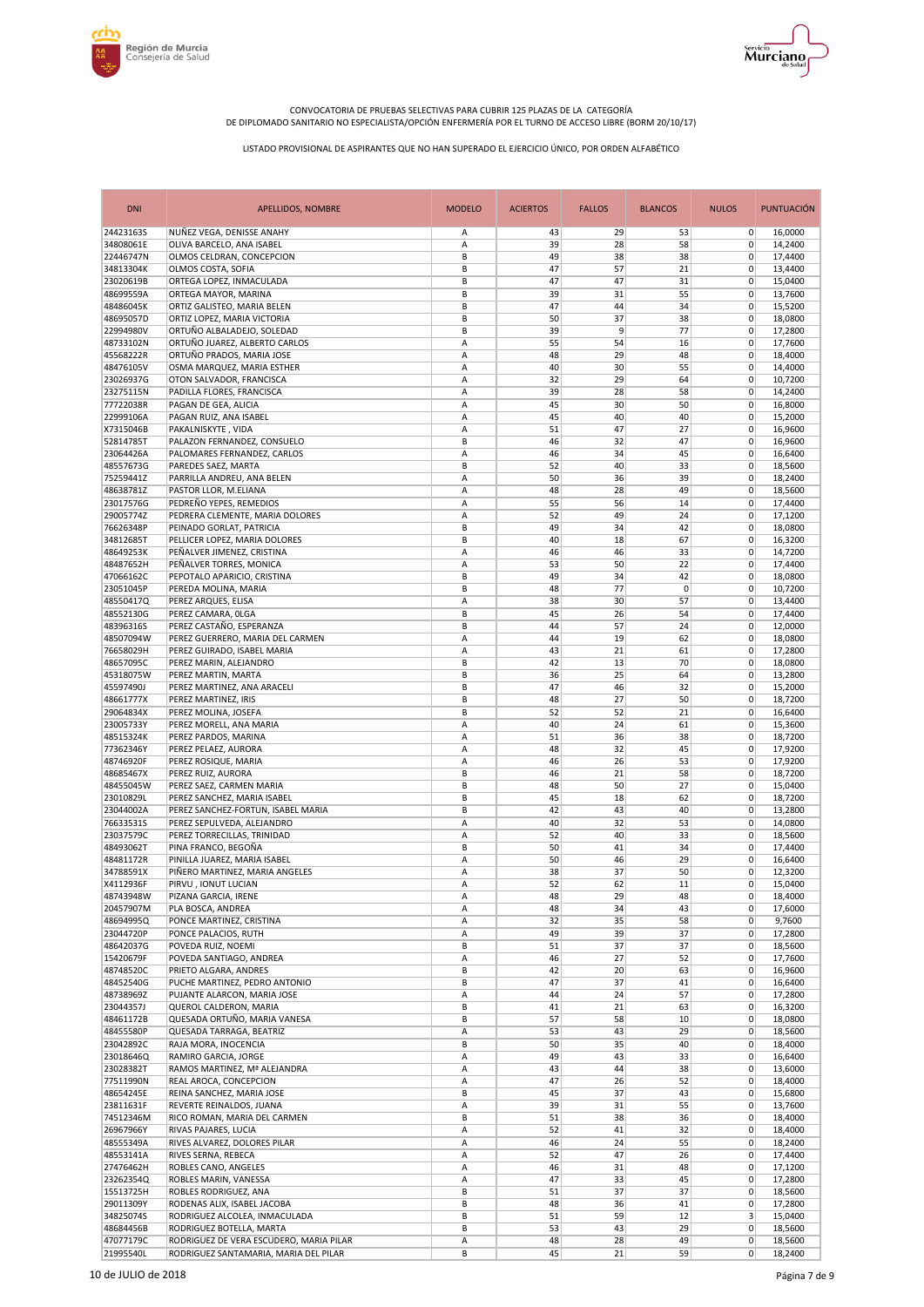



| <b>DNI</b>             | APELLIDOS, NOMBRE                                                | <b>MODELO</b> | <b>ACIERTOS</b> | <b>FALLOS</b> | <b>BLANCOS</b> | <b>NULOS</b>     | <b>PUNTUACIÓN</b>  |
|------------------------|------------------------------------------------------------------|---------------|-----------------|---------------|----------------|------------------|--------------------|
| 24423163S              | NUÑEZ VEGA, DENISSE ANAHY                                        | Α             | 43              | 29            | 53             | $\overline{0}$   | 16,0000            |
| 34808061E              | OLIVA BARCELO, ANA ISABEL                                        | А             | 39              | 28            | 58             | 0                | 14,2400            |
| 22446747N              | OLMOS CELDRAN, CONCEPCION                                        | B             | 49              | 38            | 38             | 0                | 17,4400            |
| 34813304K              | OLMOS COSTA, SOFIA                                               | B             | 47              | 57            | 21             | 0                | 13,4400            |
| 23020619B              | ORTEGA LOPEZ, INMACULADA                                         | B             | 47              | 47            | 31             | $\mathbf 0$      | 15,0400            |
| 48699559A              | ORTEGA MAYOR, MARINA                                             | B             | 39              | 31            | 55             | 0                | 13,7600            |
| 48486045K              | ORTIZ GALISTEO, MARIA BELEN                                      | B             | 47              | 44            | 34             | $\mathbf 0$      | 15,5200            |
| 48695057D              | ORTIZ LOPEZ, MARIA VICTORIA                                      | B             | 50              | 37            | 38             | $\mathbf 0$      | 18,0800            |
| 22994980V              | ORTUÑO ALBALADEJO, SOLEDAD                                       | B             | 39              | 9             | 77             | 0                | 17,2800            |
| 48733102N              | ORTUÑO JUAREZ, ALBERTO CARLOS                                    | Α             | 55              | 54            | 16             | $\mathbf 0$      | 17,7600            |
| 45568222R              | ORTUÑO PRADOS, MARIA JOSE                                        | А             | 48              | 29            | 48             | $\mathbf 0$      | 18,4000            |
| 48476105V              | OSMA MARQUEZ, MARIA ESTHER                                       | Α             | 40              | 30            | 55             | 0                | 14,4000            |
| 23026937G              | OTON SALVADOR, FRANCISCA                                         | А             | 32              | 29            | 64             | $\mathbf 0$      | 10,7200            |
| 23275115N              | PADILLA FLORES, FRANCISCA                                        | А             | 39              | 28            | 58             | $\mathbf 0$      | 14,2400            |
| 77722038R              | PAGAN DE GEA, ALICIA                                             | Α             | 45              | 30            | 50             | 0                | 16,8000            |
| 22999106A              | PAGAN RUIZ, ANA ISABEL                                           | A             | 45              | 40            | 40             | 0                | 15,2000            |
| X7315046B              | PAKALNISKYTE, VIDA                                               | А             | 51              | 47            | 27             | 0                | 16,9600            |
| 52814785T              | PALAZON FERNANDEZ, CONSUELO                                      | B             | 46              | 32            | 47             | 0                | 16,9600            |
| 23064426A              | PALOMARES FERNANDEZ, CARLOS                                      | A             | 46              | 34            | 45             | $\mathbf 0$      | 16,6400            |
| 48557673G              | PAREDES SAEZ, MARTA                                              | B             | 52              | 40            | 33             | 0                | 18,5600            |
| 75259441Z              | PARRILLA ANDREU, ANA BELEN                                       | Α             | 50              | 36            | 39             | 0                | 18,2400            |
| 48638781Z              | PASTOR LLOR, M.ELIANA                                            | Α             | 48              | 28            | 49             | $\mathbf 0$      | 18,5600            |
| 23017576G              | PEDREÑO YEPES, REMEDIOS                                          | А             | 55              | 56            | 14             | 0                | 17,4400            |
| 29005774Z              | PEDRERA CLEMENTE, MARIA DOLORES                                  | Α             | 52              | 49            | 24             | 0                | 17,1200            |
| 76626348P              | PEINADO GORLAT, PATRICIA                                         | B             | 49              | 34            | 42             | $\mathbf 0$      | 18,0800            |
| 34812685T              | PELLICER LOPEZ, MARIA DOLORES                                    | B             | 40              | 18            | 67             | $\mathbf 0$      | 16,3200            |
| 48649253K              | PEÑALVER JIMENEZ, CRISTINA                                       | Α             | 46              | 46            | 33             | $\mathbf 0$      | 14,7200            |
| 48487652H              | PEÑALVER TORRES, MONICA                                          | A             | 53              | 50            | 22             | $\mathbf 0$      | 17,4400            |
| 47066162C              | PEPOTALO APARICIO, CRISTINA                                      | B             | 49              | 34            | 42             | 0                | 18,0800            |
| 23051045P              | PEREDA MOLINA, MARIA                                             | B             | 48              | 77            | 0              | $\mathbf 0$      | 10,7200            |
| 48550417Q              | PEREZ ARQUES, ELISA                                              | A             | 38              | 30            | 57             | $\mathbf 0$      | 13,4400            |
| 48552130G              | PEREZ CAMARA, OLGA                                               | B             | 45              | 26            | 54             | $\mathbf 0$      | 17,4400            |
| 48396316S              | PEREZ CASTAÑO, ESPERANZA                                         | B             | 44              | 57            | 24             | $\mathbf 0$      | 12,0000            |
| 48507094W              | PEREZ GUERRERO, MARIA DEL CARMEN                                 | A             | 44              | 19            | 62             | 0                | 18,0800            |
| 76658029H              | PEREZ GUIRADO, ISABEL MARIA                                      | А             | 43              | 21            | 61             | $\mathbf 0$      | 17,2800            |
| 48657095C              | PEREZ MARIN, ALEJANDRO                                           | B             | 42              | 13            | 70             | $\mathbf 0$      | 18,0800            |
| 45318075W              | PEREZ MARTIN, MARTA                                              | B             | 36              | 25            | 64             | 0                | 13,2800            |
| 45597490J              | PEREZ MARTINEZ, ANA ARACELI                                      | B             | 47              | 46            | 32             | $\mathbf 0$      | 15,2000            |
| 48661777X              | PEREZ MARTINEZ, IRIS                                             | B             | 48              | 27            | 50             | $\mathbf 0$      | 18,7200            |
| 29064834X              | PEREZ MOLINA, JOSEFA                                             | B             | 52              | 52            | 21             | 0                | 16,6400            |
| 23005733Y              | PEREZ MORELL, ANA MARIA                                          | A             | 40              | 24            | 61             | 0                | 15,3600            |
| 48515324K              | PEREZ PARDOS, MARINA                                             | А             | 51              | 36            | 38             | 0                | 18,7200            |
| 77362346Y              | PEREZ PELAEZ, AURORA                                             | Α             | 48              | 32<br>26      | 45             | 0<br>$\mathbf 0$ | 17,9200            |
| 48746920F              | PEREZ ROSIQUE, MARIA                                             | Α<br>B        | 46<br>46        | 21            | 53             | 0                | 17,9200            |
| 48685467X              | PEREZ RUIZ, AURORA                                               |               |                 |               | 58<br>27       | $\mathbf 0$      | 18,7200            |
| 48455045W              | PEREZ SAEZ, CARMEN MARIA                                         | B<br>B        | 48<br>45        | 50<br>18      |                | $\mathbf 0$      | 15,0400            |
| 23010829L<br>23044002A | PEREZ SANCHEZ, MARIA ISABEL                                      | B             | 42              | 43            | 62<br>40       | 0                | 18,7200<br>13,2800 |
| 76633531S              | PEREZ SANCHEZ-FORTUN, ISABEL MARIA<br>PEREZ SEPULVEDA, ALEJANDRO | Α             | 40              | 32            | 53             | 0                | 14,0800            |
| 23037579C              | PEREZ TORRECILLAS, TRINIDAD                                      | А             | 52              | 40            | 33             | $\mathbf 0$      | 18,5600            |
| 48493062T              | PINA FRANCO, BEGOÑA                                              | В             | 50              | 41            | 34             | 0                | 17,4400            |
| 48481172R              | PINILLA JUAREZ, MARIA ISABEL                                     | Α             | 50              | 46            | 29             | 0                | 16,6400            |
| 34788591X              | PIÑERO MARTINEZ, MARIA ANGELES                                   | А             | 38              | 37            | 50             | $\mathbf 0$      | 12,3200            |
| X4112936F              | PIRVU, IONUT LUCIAN                                              | A             | 52              | 62            | 11             | 0                | 15,0400            |
| 48743948W              | PIZANA GARCIA, IRENE                                             | Α             | 48              | 29            | 48             | $\pmb{0}$        | 18,4000            |
| 20457907M              | PLA BOSCA, ANDREA                                                | Α             | 48              | 34            | 43             | 0                | 17,6000            |
| 48694995Q              | PONCE MARTINEZ, CRISTINA                                         | Α             | 32              | 35            | 58             | 0                | 9,7600             |
| 23044720P              | PONCE PALACIOS, RUTH                                             | Α             | 49              | 39            | 37             | 0                | 17,2800            |
| 48642037G              | POVEDA RUIZ, NOEMI                                               | B             | 51              | 37            | 37             | 0                | 18,5600            |
| 15420679F              | POVEDA SANTIAGO, ANDREA                                          | Α             | 46              | 27            | 52             | 0                | 17,7600            |
| 48748520C              | PRIETO ALGARA, ANDRES                                            | В             | 42              | 20            | 63             | 0                | 16,9600            |
| 48452540G              | PUCHE MARTINEZ, PEDRO ANTONIO                                    | B             | 47              | 37            | 41             | 0                | 16,6400            |
| 48738969Z              | PUJANTE ALARCON, MARIA JOSE                                      | Α             | 44              | 24            | 57             | 0                | 17,2800            |
| 23044357J              | QUEROL CALDERON, MARIA                                           | В             | 41              | 21            | 63             | 0                | 16,3200            |
| 48461172B              | QUESADA ORTUÑO, MARIA VANESA                                     | В             | 57              | 58            | 10             | $\mathbf 0$      | 18,0800            |
| 48455580P              | QUESADA TARRAGA, BEATRIZ                                         | Α             | 53              | 43            | 29             | 0                | 18,5600            |
| 23042892C              | RAJA MORA, INOCENCIA                                             | B             | 50              | 35            | 40             | 0                | 18,4000            |
| 23018646Q              | RAMIRO GARCIA, JORGE                                             | Α             | 49              | 43            | 33             | 0                | 16,6400            |
| 23028382T              | RAMOS MARTINEZ, Mª ALEJANDRA                                     | Α             | 43              | 44            | 38             | 0                | 13,6000            |
| 77511990N              | REAL AROCA, CONCEPCION                                           | Α             | 47              | 26            | 52             | 0                | 18,4000            |
| 48654245E              | REINA SANCHEZ, MARIA JOSE                                        | В             | 45              | 37            | 43             | 0                | 15,6800            |
| 23811631F              | REVERTE REINALDOS, JUANA                                         | Α             | 39              | 31            | 55             | 0                | 13,7600            |
| 74512346M              | RICO ROMAN, MARIA DEL CARMEN                                     | B             | 51              | 38            | 36             | 0                | 18,4000            |
| 26967966Y              | RIVAS PAJARES, LUCIA                                             | Α             | 52              | 41            | 32             | 0                | 18,4000            |
| 48555349A              | RIVES ALVAREZ, DOLORES PILAR                                     | Α             | 46              | 24            | 55             | 0                | 18,2400            |
| 48553141A              | RIVES SERNA, REBECA                                              | Α             | 52              | 47            | 26             | 0                | 17,4400            |
| 27476462H              | ROBLES CANO, ANGELES                                             | Α             | 46              | 31            | 48             | 0                | 17,1200            |
| 23262354Q              | ROBLES MARIN, VANESSA                                            | Α             | 47              | 33            | 45             | 0                | 17,2800            |
| 15513725H              | ROBLES RODRIGUEZ, ANA                                            | В             | 51              | 37            | 37             | 0                | 18,5600            |
| 29011309Y              | RODENAS ALIX, ISABEL JACOBA                                      | В             | 48              | 36            | 41             | 0                | 17,2800            |
| 34825074S              | RODRIGUEZ ALCOLEA, INMACULADA                                    | B             | 51              | 59            | 12             | 3                | 15,0400            |
| 48684456B              | RODRIGUEZ BOTELLA, MARTA                                         | В             | 53              | 43            | 29             | 0                | 18,5600            |
| 47077179C              | RODRIGUEZ DE VERA ESCUDERO, MARIA PILAR                          | Α             | 48              | 28            | 49             | 0                | 18,5600            |
| 21995540L              | RODRIGUEZ SANTAMARIA, MARIA DEL PILAR                            | B             | 45              | 21            | 59             | 0                | 18,2400            |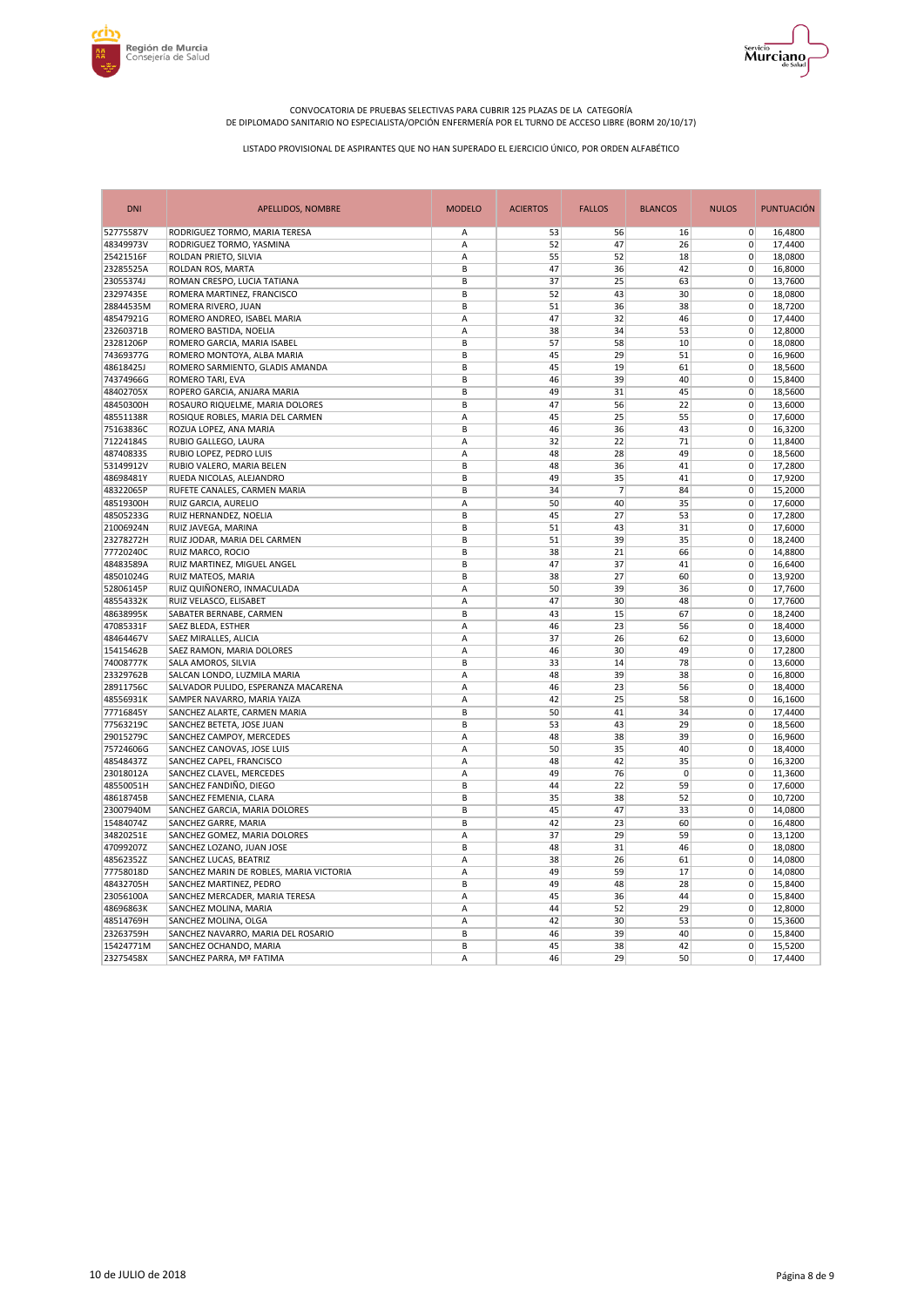



| <b>DNI</b> | <b>APELLIDOS, NOMBRE</b>                | <b>MODELO</b> | <b>ACIERTOS</b> | <b>FALLOS</b>  | <b>BLANCOS</b> | <b>NULOS</b>               | <b>PUNTUACIÓN</b> |
|------------|-----------------------------------------|---------------|-----------------|----------------|----------------|----------------------------|-------------------|
| 52775587V  | RODRIGUEZ TORMO, MARIA TERESA           | Α             | 53              | 56             | 16             | $\overline{0}$             | 16,4800           |
| 48349973V  | RODRIGUEZ TORMO, YASMINA                | A             | 52              | 47             | 26             | $\mathbf 0$                | 17,4400           |
| 25421516F  | ROLDAN PRIETO, SILVIA                   | A             | 55              | 52             | 18             | $\mathbf 0$                | 18,0800           |
| 23285525A  | ROLDAN ROS, MARTA                       | B             | 47              | 36             | 42             | $\mathbf 0$                | 16,8000           |
| 23055374J  | ROMAN CRESPO, LUCIA TATIANA             | B             | 37              | 25             | 63             | $\mathbf 0$                | 13,7600           |
| 23297435E  | ROMERA MARTINEZ, FRANCISCO              | B             | 52              | 43             | 30             | $\mathbf 0$                | 18,0800           |
| 28844535M  | ROMERA RIVERO, JUAN                     | B             | 51              | 36             | 38             | $\mathbf 0$                | 18,7200           |
| 48547921G  | ROMERO ANDREO, ISABEL MARIA             | A             | 47              | 32             | 46             | $\mathbf 0$                | 17,4400           |
| 23260371B  | ROMERO BASTIDA, NOELIA                  | Α             | 38              | 34             | 53             | $\mathbf 0$                | 12,8000           |
| 23281206P  | ROMERO GARCIA, MARIA ISABEL             | B             | 57              | 58             | 10             | $\Omega$                   | 18,0800           |
| 74369377G  | ROMERO MONTOYA, ALBA MARIA              | B             | 45              | 29             | 51             | $\mathbf 0$                | 16,9600           |
| 48618425J  | ROMERO SARMIENTO, GLADIS AMANDA         | B             | 45              | 19             | 61             | $\mathbf 0$                | 18,5600           |
| 74374966G  | ROMERO TARI, EVA                        | B             | 46              | 39             | 40             | $\mathbf 0$                | 15,8400           |
| 48402705X  | ROPERO GARCIA, ANJARA MARIA             | B             | 49              | 31             | 45             | $\mathbf 0$                | 18,5600           |
| 48450300H  | ROSAURO RIQUELME. MARIA DOLORES         | B             | 47              | 56             | 22             | $\mathbf 0$                | 13,6000           |
| 48551138R  | ROSIQUE ROBLES, MARIA DEL CARMEN        | A             | 45              | 25             | 55             | $\mathbf 0$                | 17,6000           |
| 75163836C  | ROZUA LOPEZ, ANA MARIA                  | B             | 46              | 36             | 43             | $\mathbf 0$                | 16,3200           |
| 71224184S  | RUBIO GALLEGO, LAURA                    | A             | 32              | 22             | 71             | $\mathbf 0$                | 11,8400           |
| 48740833S  | RUBIO LOPEZ, PEDRO LUIS                 | A             | 48              | 28             | 49             | $\mathbf 0$                |                   |
|            |                                         |               |                 |                |                |                            | 18,5600           |
| 53149912V  | RUBIO VALERO, MARIA BELEN               | B<br>B        | 48<br>49        | 36<br>35       | 41<br>41       | $\mathbf 0$<br>$\mathbf 0$ | 17,2800           |
| 48698481Y  | RUEDA NICOLAS, ALEJANDRO                |               |                 |                |                |                            | 17,9200           |
| 48322065P  | RUFETE CANALES, CARMEN MARIA            | B             | 34              | $\overline{7}$ | 84             | $\mathbf 0$                | 15,2000           |
| 48519300H  | RUIZ GARCIA, AURELIO                    | A             | 50              | 40             | 35             | $\mathbf 0$                | 17,6000           |
| 48505233G  | RUIZ HERNANDEZ, NOELIA                  | B             | 45              | 27             | 53             | $\mathbf 0$                | 17,2800           |
| 21006924N  | RUIZ JAVEGA, MARINA                     | B             | 51              | 43             | 31             | $\mathbf 0$                | 17,6000           |
| 23278272H  | RUIZ JODAR, MARIA DEL CARMEN            | B             | 51              | 39             | 35             | $\mathbf 0$                | 18,2400           |
| 77720240C  | RUIZ MARCO, ROCIO                       | B             | 38              | 21             | 66             | $\mathbf 0$                | 14,8800           |
| 48483589A  | RUIZ MARTINEZ, MIGUEL ANGEL             | B             | 47              | 37             | 41             | $\mathbf 0$                | 16,6400           |
| 48501024G  | RUIZ MATEOS, MARIA                      | B             | 38              | 27             | 60             | $\mathbf 0$                | 13,9200           |
| 52806145P  | RUIZ QUIÑONERO, INMACULADA              | A             | 50              | 39             | 36             | $\mathbf 0$                | 17,7600           |
| 48554332K  | RUIZ VELASCO, ELISABET                  | A             | 47              | 30             | 48             | $\Omega$                   | 17,7600           |
| 48638995K  | SABATER BERNABE, CARMEN                 | B             | 43              | 15             | 67             | $\mathbf 0$                | 18,2400           |
| 47085331F  | SAEZ BLEDA, ESTHER                      | A             | 46              | 23             | 56             | $\mathbf 0$                | 18,4000           |
| 48464467V  | SAEZ MIRALLES, ALICIA                   | A             | 37              | 26             | 62             | $\mathbf 0$                | 13,6000           |
| 15415462B  | SAEZ RAMON, MARIA DOLORES               | A             | 46              | 30             | 49             | $\mathbf 0$                | 17,2800           |
| 74008777K  | SALA AMOROS, SILVIA                     | B             | 33              | 14             | 78             | $\mathbf 0$                | 13,6000           |
| 23329762B  | SALCAN LONDO, LUZMILA MARIA             | A             | 48              | 39             | 38             | $\mathbf 0$                | 16,8000           |
| 28911756C  | SALVADOR PULIDO, ESPERANZA MACARENA     | A             | 46              | 23             | 56             | $\mathbf 0$                | 18,4000           |
| 48556931K  | SAMPER NAVARRO, MARIA YAIZA             | A             | 42              | 25             | 58             | $\mathbf 0$                | 16,1600           |
| 77716845Y  | SANCHEZ ALARTE, CARMEN MARIA            | B             | 50              | 41             | 34             | $\mathbf 0$                | 17,4400           |
| 77563219C  | SANCHEZ BETETA, JOSE JUAN               | B             | 53              | 43             | 29             | $\mathbf 0$                | 18,5600           |
| 29015279C  | SANCHEZ CAMPOY, MERCEDES                | A             | 48              | 38             | 39             | $\mathbf 0$                | 16,9600           |
| 75724606G  | SANCHEZ CANOVAS, JOSE LUIS              | A             | 50              | 35             | 40             | $\mathbf 0$                | 18,4000           |
| 48548437Z  | SANCHEZ CAPEL, FRANCISCO                | A             | 48              | 42             | 35             | $\mathbf 0$                | 16,3200           |
| 23018012A  | SANCHEZ CLAVEL, MERCEDES                | A             | 49              | 76             | $\pmb{0}$      | $\mathbf 0$                | 11,3600           |
| 48550051H  | SANCHEZ FANDIÑO, DIEGO                  | B             | 44              | 22             | 59             | $\mathbf 0$                | 17,6000           |
| 48618745B  | SANCHEZ FEMENIA, CLARA                  | B             | 35              | 38             | 52             | $\mathbf 0$                | 10,7200           |
| 23007940M  | SANCHEZ GARCIA, MARIA DOLORES           | B             | 45              | 47             | 33             | $\mathbf 0$                | 14,0800           |
| 15484074Z  | SANCHEZ GARRE, MARIA                    | B             | 42              | 23             | 60             | $\mathbf 0$                | 16,4800           |
| 34820251E  | SANCHEZ GOMEZ, MARIA DOLORES            | A             | 37              | 29             | 59             | $\mathbf 0$                | 13,1200           |
| 47099207Z  | SANCHEZ LOZANO, JUAN JOSE               | B             | 48              | 31             | 46             | $\mathbf 0$                | 18,0800           |
| 48562352Z  | SANCHEZ LUCAS, BEATRIZ                  | A             | 38              | 26             | 61             | $\mathbf 0$                | 14,0800           |
| 77758018D  | SANCHEZ MARIN DE ROBLES, MARIA VICTORIA | A             | 49              | 59             | 17             | $\mathbf 0$                | 14,0800           |
| 48432705H  | SANCHEZ MARTINEZ, PEDRO                 | B             | 49              | 48             | 28             | $\mathbf 0$                | 15,8400           |
|            |                                         |               |                 |                |                |                            |                   |
| 23056100A  | SANCHEZ MERCADER, MARIA TERESA          | A             | 45              | 36             | 44             | $\mathbf 0$                | 15,8400           |
| 48696863K  | SANCHEZ MOLINA, MARIA                   | Α             | 44              | 52             | 29             | $\mathbf 0$                | 12,8000           |
| 48514769H  | SANCHEZ MOLINA, OLGA                    | A             | 42              | 30             | 53             | $\Omega$                   | 15,3600           |
| 23263759H  | SANCHEZ NAVARRO, MARIA DEL ROSARIO      | B             | 46              | 39             | 40             | $\Omega$                   | 15,8400           |
| 15424771M  | SANCHEZ OCHANDO, MARIA                  | B             | 45              | 38             | 42             | $\mathbf 0$                | 15,5200           |
| 23275458X  | SANCHEZ PARRA, Mª FATIMA                | A             | 46              | 29             | 50             | 0                          | 17,4400           |